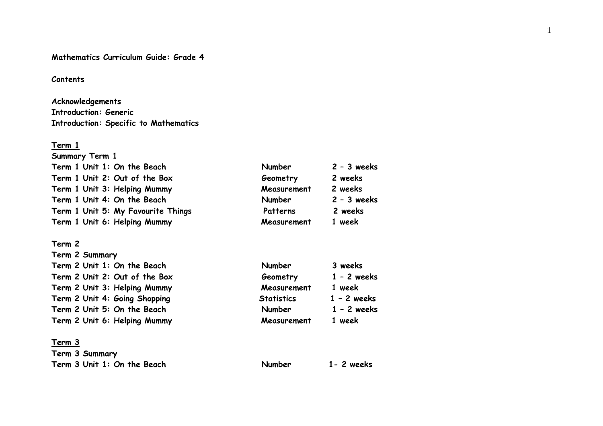### **Mathematics Curriculum Guide: Grade 4**

#### **Contents**

# **Acknowledgements Introduction: Generic Introduction: Specific to Mathematics**

#### **Term 1**

| <b>Summary Term 1</b>              |             |               |
|------------------------------------|-------------|---------------|
| Term 1 Unit 1: On the Beach        | Number      | $2 - 3$ weeks |
| Term 1 Unit 2: Out of the Box      | Geometry    | 2 weeks       |
| Term 1 Unit 3: Helping Mummy       | Measurement | 2 weeks       |
| Term 1 Unit 4: On the Beach        | Number      | $2 - 3$ weeks |
| Term 1 Unit 5: My Favourite Things | Patterns    | 2 weeks       |
| Term 1 Unit 6: Helping Mummy       | Measurement | 1 week        |

### **Term 2**

| Term 2 Summary |                                                                                                                                                                                              |               |
|----------------|----------------------------------------------------------------------------------------------------------------------------------------------------------------------------------------------|---------------|
|                | <b>Number</b>                                                                                                                                                                                | 3 weeks       |
|                | Geometry                                                                                                                                                                                     | $1 - 2$ weeks |
|                | Measurement                                                                                                                                                                                  | 1 week        |
|                | <b>Statistics</b>                                                                                                                                                                            | $1 - 2$ weeks |
|                | Number                                                                                                                                                                                       | $1 - 2$ weeks |
|                | Measurement                                                                                                                                                                                  | 1 week        |
|                | Term 2 Unit 1: On the Beach<br>Term 2 Unit 2: Out of the Box<br>Term 2 Unit 3: Helping Mummy<br>Term 2 Unit 4: Going Shopping<br>Term 2 Unit 5: On the Beach<br>Term 2 Unit 6: Helping Mummy |               |

### **Term 3**

| Term 3 Summary              |        |               |
|-----------------------------|--------|---------------|
| Term 3 Unit 1: On the Beach | Number | $1 - 2$ weeks |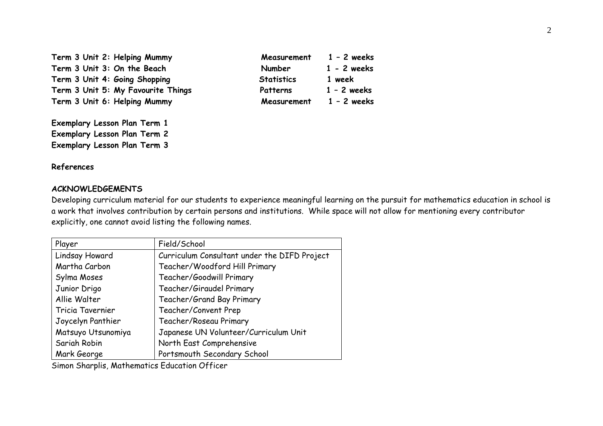Term 3 Unit 2: Helping Mummy **Measurement** 1 - 2 weeks Term 3 Unit 3: On the Beach **Number** 1 - 2 weeks Term 3 Unit 4: Going Shopping **Statistics** 1 week Term 3 Unit 5: My Favourite Things **Patterns** 1 - 2 weeks Term 3 Unit 6: Helping Mummy **Measurement** 1 - 2 weeks

**Exemplary Lesson Plan Term 1 Exemplary Lesson Plan Term 2 Exemplary Lesson Plan Term 3** 

#### **References**

### **ACKNOWLEDGEMENTS**

Developing curriculum material for our students to experience meaningful learning on the pursuit for mathematics education in school is a work that involves contribution by certain persons and institutions. While space will not allow for mentioning every contributor explicitly, one cannot avoid listing the following names.

| Player             | Field/School                                 |
|--------------------|----------------------------------------------|
| Lindsay Howard     | Curriculum Consultant under the DIFD Project |
| Martha Carbon      | Teacher/Woodford Hill Primary                |
| Sylma Moses        | Teacher/Goodwill Primary                     |
| Junior Drigo       | Teacher/Giraudel Primary                     |
| Allie Walter       | Teacher/Grand Bay Primary                    |
| Tricia Tavernier   | Teacher/Convent Prep                         |
| Joycelyn Panthier  | Teacher/Roseau Primary                       |
| Matsuyo Utsunomiya | Japanese UN Volunteer/Curriculum Unit        |
| Sariah Robin       | North East Comprehensive                     |
| Mark George        | Portsmouth Secondary School                  |

Simon Sharplis, Mathematics Education Officer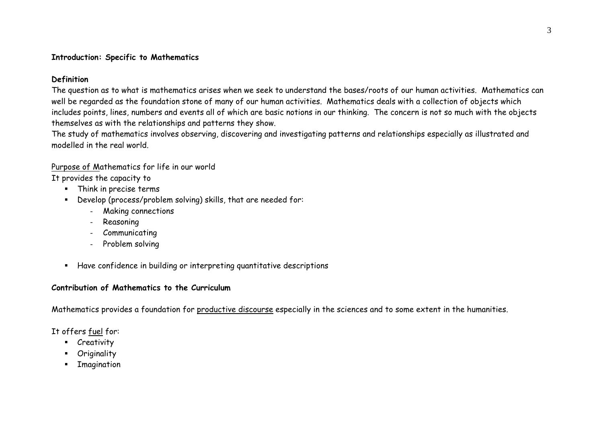### **Introduction: Specific to Mathematics**

### **Definition**

The question as to what is mathematics arises when we seek to understand the bases/roots of our human activities. Mathematics can well be regarded as the foundation stone of many of our human activities. Mathematics deals with a collection of objects which includes points, lines, numbers and events all of which are basic notions in our thinking. The concern is not so much with the objects themselves as with the relationships and patterns they show.

The study of mathematics involves observing, discovering and investigating patterns and relationships especially as illustrated and modelled in the real world.

### Purpose of Mathematics for life in our world

It provides the capacity to

- Think in precise terms
- Develop (process/problem solving) skills, that are needed for:
	- Making connections
	- Reasoning
	- Communicating
	- Problem solving
- Have confidence in building or interpreting quantitative descriptions

### **Contribution of Mathematics to the Curriculum**

Mathematics provides a foundation for productive discourse especially in the sciences and to some extent in the humanities.

### It offers fuel for:

- **-** Creativity
- Originality
- $\blacksquare$ Imagination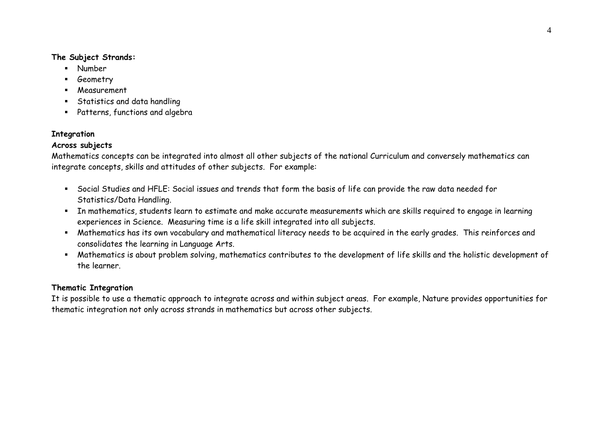### **The Subject Strands:**

- Number
- Geometry
- Measurement
- Statistics and data handling
- Patterns, functions and algebra

### **Integration**

### **Across subjects**

Mathematics concepts can be integrated into almost all other subjects of the national Curriculum and conversely mathematics can integrate concepts, skills and attitudes of other subjects. For example:

- Social Studies and HFLE: Social issues and trends that form the basis of life can provide the raw data needed for Statistics/Data Handling.
- In mathematics, students learn to estimate and make accurate measurements which are skills required to engage in learning experiences in Science. Measuring time is a life skill integrated into all subjects.
- Mathematics has its own vocabulary and mathematical literacy needs to be acquired in the early grades. This reinforces and consolidates the learning in Language Arts.
- Mathematics is about problem solving, mathematics contributes to the development of life skills and the holistic development of the learner.

### **Thematic Integration**

It is possible to use a thematic approach to integrate across and within subject areas. For example, Nature provides opportunities for thematic integration not only across strands in mathematics but across other subjects.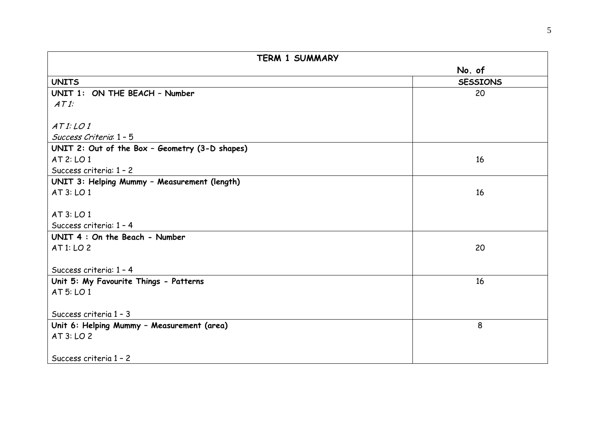| <b>TERM 1 SUMMARY</b>                                |                 |  |
|------------------------------------------------------|-----------------|--|
|                                                      | No. of          |  |
| <b>UNITS</b>                                         | <b>SESSIONS</b> |  |
| UNIT 1: ON THE BEACH - Number                        | 20              |  |
| ATI:                                                 |                 |  |
|                                                      |                 |  |
| ATI:LOI                                              |                 |  |
| Success Criteria 1 - 5                               |                 |  |
| UNIT 2: Out of the Box - Geometry (3-D shapes)       |                 |  |
| AT 2: LO 1                                           | 16              |  |
| Success criteria: 1 - 2                              |                 |  |
| UNIT 3: Helping Mummy - Measurement (length)         |                 |  |
| AT 3: LO 1                                           | 16              |  |
|                                                      |                 |  |
| AT 3: LO 1                                           |                 |  |
| Success criteria: 1 - 4                              |                 |  |
| UNIT 4: On the Beach - Number                        |                 |  |
| AT 1: LO 2                                           | 20              |  |
|                                                      |                 |  |
| Success criteria: 1 - 4                              | 16              |  |
| Unit 5: My Favourite Things - Patterns<br>AT 5: LO 1 |                 |  |
|                                                      |                 |  |
| Success criteria 1 - 3                               |                 |  |
| Unit 6: Helping Mummy - Measurement (area)           | 8               |  |
| AT 3: LO 2                                           |                 |  |
|                                                      |                 |  |
| Success criteria 1 - 2                               |                 |  |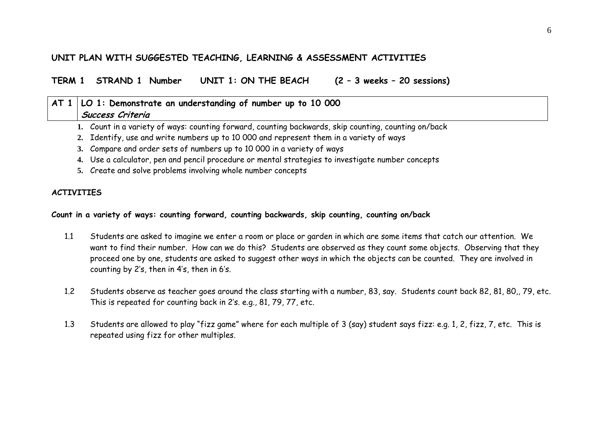### **UNIT PLAN WITH SUGGESTED TEACHING, LEARNING & ASSESSMENT ACTIVITIES**

**TERM 1 STRAND 1 Number UNIT 1: ON THE BEACH (2 – 3 weeks – 20 sessions)** 

# **AT 1 LO 1: Demonstrate an understanding of number up to 10 000 Success Criteria**

- **1.** Count in a variety of ways: counting forward, counting backwards, skip counting, counting on/back
- **2.** Identify, use and write numbers up to 10 000 and represent them in a variety of ways
- **3.** Compare and order sets of numbers up to 10 000 in a variety of ways
- **4.** Use a calculator, pen and pencil procedure or mental strategies to investigate number concepts
- **5.** Create and solve problems involving whole number concepts

### **ACTIVITIES**

### **Count in a variety of ways: counting forward, counting backwards, skip counting, counting on/back**

- 1.1 Students are asked to imagine we enter a room or place or garden in which are some items that catch our attention. We want to find their number. How can we do this? Students are observed as they count some objects. Observing that they proceed one by one, students are asked to suggest other ways in which the objects can be counted. They are involved in counting by 2's, then in 4's, then in 6's.
- 1.2 Students observe as teacher goes around the class starting with a number, 83, say. Students count back 82, 81, 80,, 79, etc. This is repeated for counting back in 2's. e.g., 81, 79, 77, etc.
- 1.3 Students are allowed to play "fizz game" where for each multiple of 3 (say) student says fizz: e.g. 1, 2, fizz, 7, etc. This is repeated using fizz for other multiples.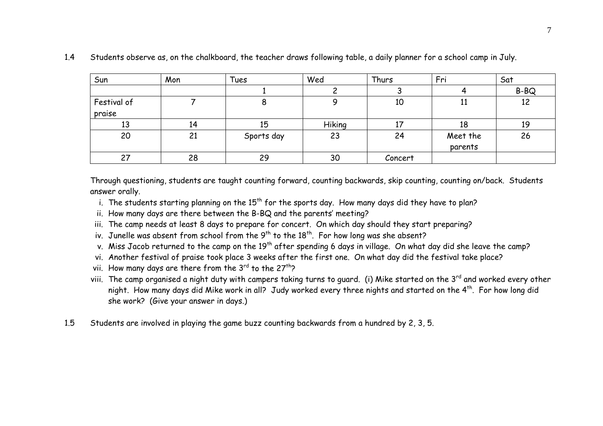| Sun                   | Mon | Tues       | Wed    | Thurs   | Fri                 | Sat  |
|-----------------------|-----|------------|--------|---------|---------------------|------|
|                       |     |            |        |         |                     | B-BQ |
| Festival of<br>praise |     |            |        | 10      | 11                  | 12   |
| 13                    | 14  | 15         | Hiking |         | 18                  | 19   |
| 20                    | 21  | Sports day | 23     | 24      | Meet the<br>parents | 26   |
| 27                    | 28  | 29         | 30     | Concert |                     |      |

#### 1.4Students observe as, on the chalkboard, the teacher draws following table, a daily planner for a school camp in July.

Through questioning, students are taught counting forward, counting backwards, skip counting, counting on/back. Students answer orally.

- i. The students starting planning on the  $15<sup>th</sup>$  for the sports day. How many days did they have to plan?
- ii. How many days are there between the B-BQ and the parents' meeting?
- iii. The camp needs at least 8 days to prepare for concert. On which day should they start preparing?
- iv. Junelle was absent from school from the  $9^{th}$  to the  $18^{th}$ . For how long was she absent?
- v. Miss Jacob returned to the camp on the 19<sup>th</sup> after spending 6 days in village. On what day did she leave the camp?
- vi. Another festival of praise took place 3 weeks after the first one. On what day did the festival take place?
- vii. How many days are there from the  $3^{rd}$  to the  $27^{th}$ ?
- viii. The camp organised a night duty with campers taking turns to quard. (i) Mike started on the 3<sup>rd</sup> and worked every other night. How many days did Mike work in all? Judy worked every three nights and started on the 4<sup>th</sup>. For how long did she work? (Give your answer in days.)
- 1.5Students are involved in playing the game buzz counting backwards from a hundred by 2, 3, 5.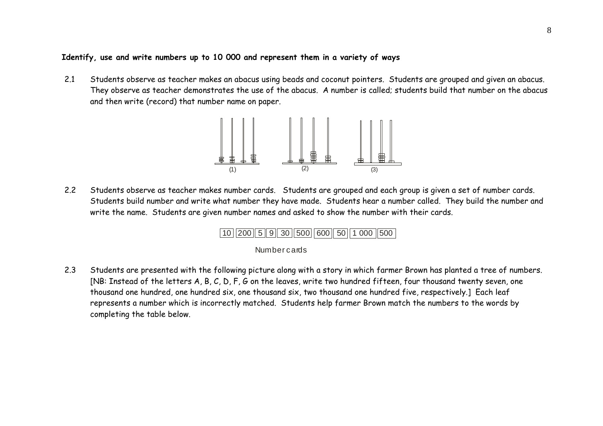### **Identify, use and write numbers up to 10 000 and represent them in a variety of ways**

2.1 Students observe as teacher makes an abacus using beads and coconut pointers. Students are grouped and given an abacus. They observe as teacher demonstrates the use of the abacus. A number is called; students build that number on the abacus and then write (record) that number name on paper.



2.2 Students observe as teacher makes number cards. Students are grouped and each group is given a set of number cards. Students build number and write what number they have made. Students hear a number called. They build the number and write the name. Students are given number names and asked to show the number with their cards.



#### **Number cards**

2.3 Students are presented with the following picture along with a story in which farmer Brown has planted a tree of numbers. [NB: Instead of the letters A, B, C, D, F, G on the leaves, write two hundred fifteen, four thousand twenty seven, one thousand one hundred, one hundred six, one thousand six, two thousand one hundred five, respectively.] Each leaf represents a number which is incorrectly matched. Students help farmer Brown match the numbers to the words by completing the table below.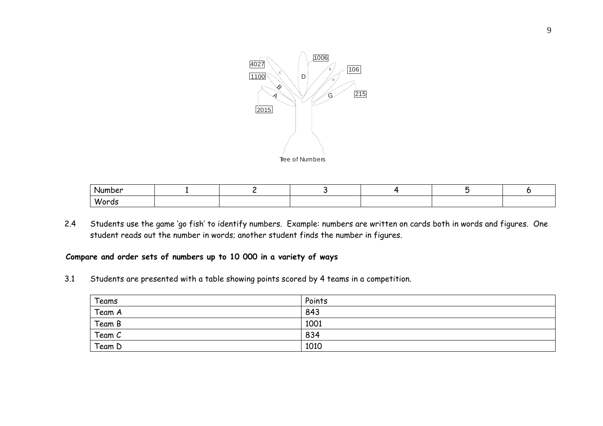

| Number      |  |  |  |
|-------------|--|--|--|
| <b>Word</b> |  |  |  |

2.4 Students use the game 'go fish' to identify numbers. Example: numbers are written on cards both in words and figures. One student reads out the number in words; another student finds the number in figures.

### **Compare and order sets of numbers up to 10 000 in a variety of ways**

3.1 Students are presented with a table showing points scored by 4 teams in a competition.

| Teams  | Points |
|--------|--------|
| Team A | 843    |
| Team B | 1001   |
| Team C | 834    |
| Team D | 1010   |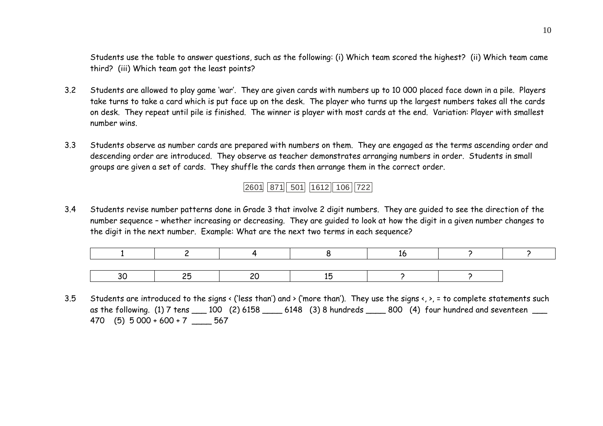Students use the table to answer questions, such as the following: (i) Which team scored the highest? (ii) Which team came third? (iii) Which team got the least points?

- 3.2 Students are allowed to play game 'war'. They are given cards with numbers up to 10 000 placed face down in a pile. Players take turns to take a card which is put face up on the desk. The player who turns up the largest numbers takes all the cards on desk. They repeat until pile is finished. The winner is player with most cards at the end. Variation: Player with smallest number wins.
- 3.3 Students observe as number cards are prepared with numbers on them. They are engaged as the terms ascending order and descending order are introduced. They observe as teacher demonstrates arranging numbers in order. Students in small groups are given a set of cards. They shuffle the cards then arrange them in the correct order.

2601||871|| 501||1612|| 106||722

3.4 Students revise number patterns done in Grade 3 that involve 2 digit numbers. They are guided to see the direction of the number sequence – whether increasing or decreasing. They are guided to look at how the digit in a given number changes to the digit in the next number. Example: What are the next two terms in each sequence?

3.5Students are introduced to the signs < ('less than') and > ('more than'). They use the signs <, >, = to complete statements such as the following. (1) 7 tens 100 (2) 6158 16148 (3) 8 hundreds 1800 (4) four hundred and seventeen 470 (5) 5 000 + 600 + 7 \_\_\_\_ 567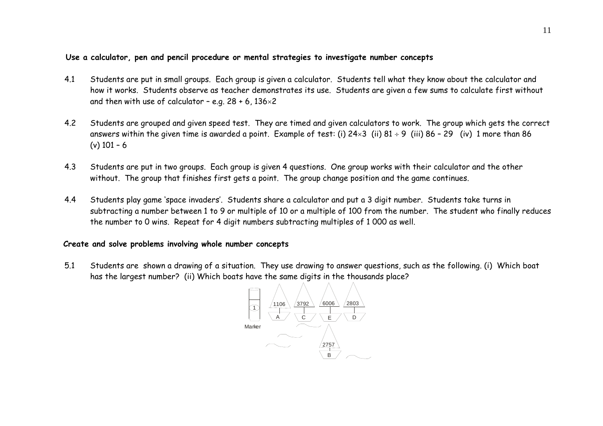### **Use a calculator, pen and pencil procedure or mental strategies to investigate number concepts**

- 4.1 Students are put in small groups. Each group is given a calculator. Students tell what they know about the calculator and how it works. Students observe as teacher demonstrates its use. Students are given a few sums to calculate first without and then with use of calculator – e.g. 28 + 6, 136 $\times$ 2  $^{\circ}$
- 4.2 Students are grouped and given speed test. They are timed and given calculators to work. The group which gets the correct answers within the given time is awarded a point. Example of test: (i) 24×3 (ii) 81 ÷ 9 (iii) 86 – 29  $\,$  (iv)  $\,$  1 more than 86  $\,$ (v) 101 – 6
- 4.3 Students are put in two groups. Each group is given 4 questions. One group works with their calculator and the other without. The group that finishes first gets a point. The group change position and the game continues.
- 4.4 Students play game 'space invaders'. Students share a calculator and put a 3 digit number. Students take turns in subtracting a number between 1 to 9 or multiple of 10 or a multiple of 100 from the number. The student who finally reduces the number to 0 wins. Repeat for 4 digit numbers subtracting multiples of 1 000 as well.

### **Create and solve problems involving whole number concepts**

5.1 Students are shown a drawing of a situation. They use drawing to answer questions, such as the following. (i) Which boat has the largest number? (ii) Which boats have the same digits in the thousands place?

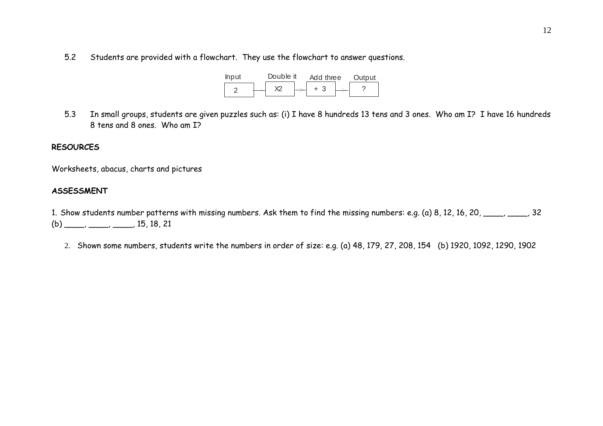5.2Students are provided with a flowchart. They use the flowchart to answer questions.

| <b>Input</b> | Double it |  | Add three |  |  | Output |
|--------------|-----------|--|-----------|--|--|--------|
|              | <b>V2</b> |  |           |  |  |        |

5.3 In small groups, students are given puzzles such as: (i) I have 8 hundreds 13 tens and 3 ones. Who am I? I have 16 hundreds 8 tens and 8 ones. Who am I?

### **RESOURCES**

Worksheets, abacus, charts and pictures

#### **ASSESSMENT**

1. Show students number patterns with missing numbers. Ask them to find the missing numbers: e.g. (a) 8, 12, 16, 20, \_\_\_\_, \_\_\_, 32  $(b)$  \_\_\_\_, \_\_\_, \_\_\_, 15, 18, 21

2. Shown some numbers, students write the numbers in order of size: e.g. (a) 48, 179, 27, 208, 154 (b) 1920, 1092, 1290, 1902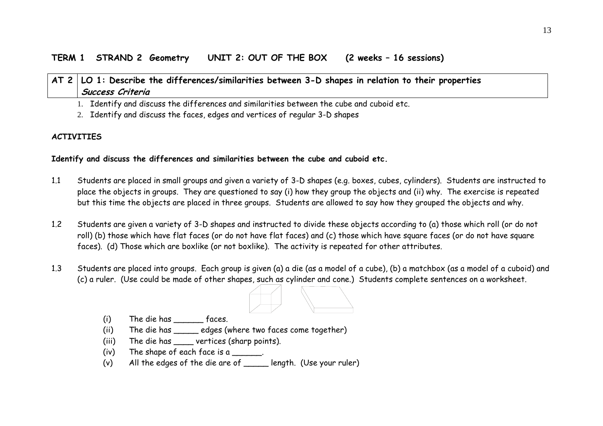# **AT 2 LO 1: Describe the differences/similarities between 3-D shapes in relation to their properties Success Criteria**

1. Identify and discuss the differences and similarities between the cube and cuboid etc.

2. Identify and discuss the faces, edges and vertices of regular 3-D shapes

### **ACTIVITIES**

### **Identify and discuss the differences and similarities between the cube and cuboid etc.**

- 1.1 Students are placed in small groups and given a variety of 3-D shapes (e.g. boxes, cubes, cylinders). Students are instructed to place the objects in groups. They are questioned to say (i) how they group the objects and (ii) why. The exercise is repeated but this time the objects are placed in three groups. Students are allowed to say how they grouped the objects and why.
- 1.2 Students are given a variety of 3-D shapes and instructed to divide these objects according to (a) those which roll (or do not roll) (b) those which have flat faces (or do not have flat faces) and (c) those which have square faces (or do not have square faces). (d) Those which are boxlike (or not boxlike). The activity is repeated for other attributes.
- 1.3 Students are placed into groups. Each group is given (a) a die (as a model of a cube), (b) a matchbox (as a model of a cuboid) and (c) a ruler. (Use could be made of other shapes, such as cylinder and cone.) Students complete sentences on a worksheet.



- (i) The die has \_\_\_\_\_\_ faces.
- (ii) The die has \_\_\_\_\_ edges (where two faces come together)
- (iii) The die has \_\_\_\_\_ vertices (sharp points).
- (iv) The shape of each face is a  $\frac{1}{\sqrt{1-\frac{1}{n}}}\$ .
- (v) All the edges of the die are of \_\_\_\_\_ length. (Use your ruler)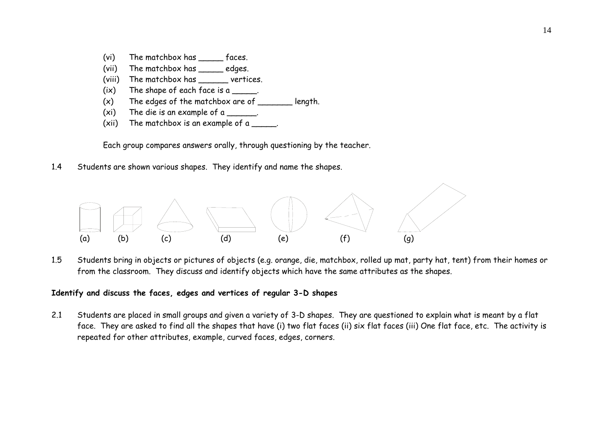- (vi) The matchbox has faces.
- (vii) The matchbox has edges.
- (viii) The matchbox has vertices.
- $(ix)$  The shape of each face is a \_\_\_\_\_.
- $(x)$  The edges of the matchbox are of \_\_\_\_\_\_\_ length.
- (xi) The die is an example of a  $\blacksquare$ .
- (xii) The matchbox is an example of a  $\frac{1}{\sqrt{2}}$ .

Each group compares answers orally, through questioning by the teacher.

1.4Students are shown various shapes. They identify and name the shapes.



1.5 Students bring in objects or pictures of objects (e.g. orange, die, matchbox, rolled up mat, party hat, tent) from their homes or from the classroom. They discuss and identify objects which have the same attributes as the shapes.

### **Identify and discuss the faces, edges and vertices of regular 3-D shapes**

2.1 Students are placed in small groups and given a variety of 3-D shapes. They are questioned to explain what is meant by a flat face. They are asked to find all the shapes that have (i) two flat faces (ii) six flat faces (iii) One flat face, etc. The activity is repeated for other attributes, example, curved faces, edges, corners.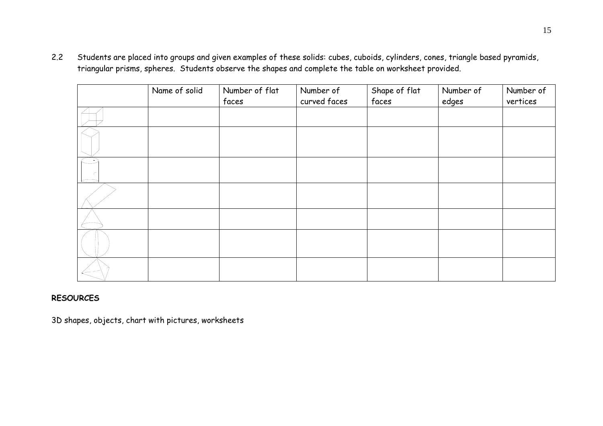2.2 Students are placed into groups and given examples of these solids: cubes, cuboids, cylinders, cones, triangle based pyramids, triangular prisms, spheres. Students observe the shapes and complete the table on worksheet provided.

| Name of solid | Number of flat<br>faces | Number of<br>curved faces | Shape of flat<br>faces | Number of<br>edges | Number of<br>vertices |
|---------------|-------------------------|---------------------------|------------------------|--------------------|-----------------------|
|               |                         |                           |                        |                    |                       |
|               |                         |                           |                        |                    |                       |
|               |                         |                           |                        |                    |                       |
|               |                         |                           |                        |                    |                       |
|               |                         |                           |                        |                    |                       |
|               |                         |                           |                        |                    |                       |
|               |                         |                           |                        |                    |                       |

### **RESOURCES**

3D shapes, objects, chart with pictures, worksheets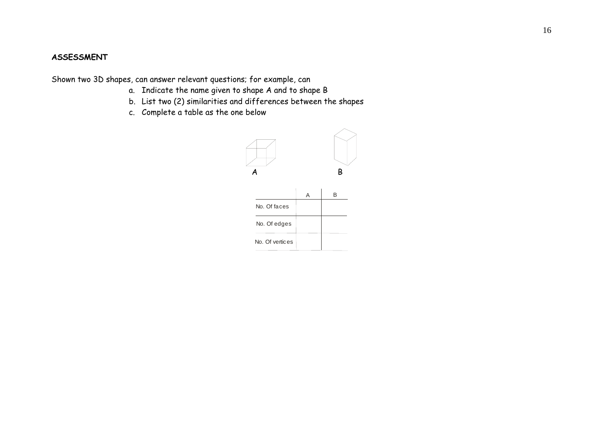### **ASSESSMENT**

Shown two 3D shapes, can answer relevant questions; for example, can

- a. Indicate the name given to shape A and to shape B
- b. List two (2) similarities and differences between the shapes
- c. Complete a table as the one below

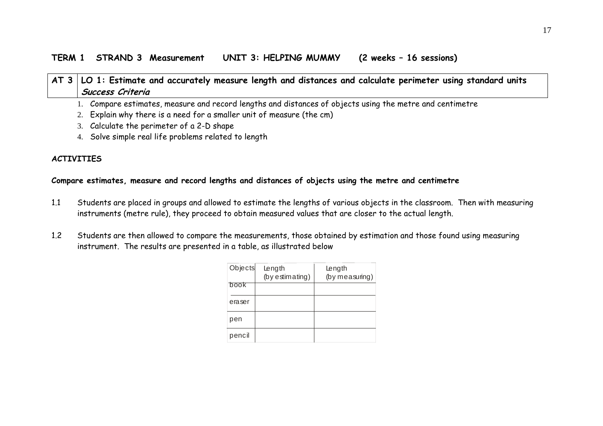### **TERM 1 STRAND 3 Measurement UNIT 3: HELPING MUMMY (2 weeks – 16 sessions)**

### **AT 3 LO 1: Estimate and accurately measure length and distances and calculate perimeter using standard units Success Criteria**

1. Compare estimates, measure and record lengths and distances of objects using the metre and centimetre

- 2. Explain why there is a need for a smaller unit of measure (the cm)
- 3. Calculate the perimeter of a 2-D shape
- 4. Solve simple real life problems related to length

### **ACTIVITIES**

### **Compare estimates, measure and record lengths and distances of objects using the metre and centimetre**

- 1.1 Students are placed in groups and allowed to estimate the lengths of various objects in the classroom. Then with measuring instruments (metre rule), they proceed to obtain measured values that are closer to the actual length.
- 1.2 Students are then allowed to compare the measurements, those obtained by estimation and those found using measuring instrument. The results are presented in a table, as illustrated below

| Objects | Length<br>(by estimating) | Length<br>(by measuring) |
|---------|---------------------------|--------------------------|
| book    |                           |                          |
| eraser  |                           |                          |
| pen     |                           |                          |
| pencil  |                           |                          |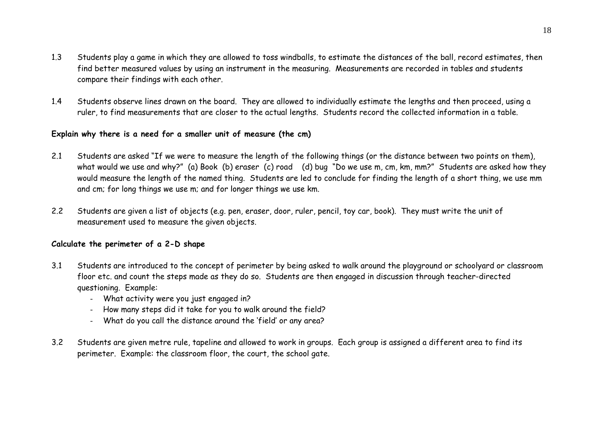- 1.3 Students play a game in which they are allowed to toss windballs, to estimate the distances of the ball, record estimates, then find better measured values by using an instrument in the measuring. Measurements are recorded in tables and students compare their findings with each other.
- 1.4 Students observe lines drawn on the board. They are allowed to individually estimate the lengths and then proceed, using a ruler, to find measurements that are closer to the actual lengths. Students record the collected information in a table.

### **Explain why there is a need for a smaller unit of measure (the cm)**

- 2.1 Students are asked "If we were to measure the length of the following things (or the distance between two points on them), what would we use and why?" (a) Book (b) eraser (c) road (d) bug "Do we use m, cm, km, mm?" Students are asked how they would measure the length of the named thing. Students are led to conclude for finding the length of a short thing, we use mm and cm; for long things we use m; and for longer things we use km.
- 2.2 Students are given a list of objects (e.g. pen, eraser, door, ruler, pencil, toy car, book). They must write the unit of measurement used to measure the given objects.

### **Calculate the perimeter of a 2-D shape**

- 3.1 Students are introduced to the concept of perimeter by being asked to walk around the playground or schoolyard or classroom floor etc. and count the steps made as they do so. Students are then engaged in discussion through teacher-directed questioning. Example:
	- What activity were you just engaged in?
	- How many steps did it take for you to walk around the field?
	- What do you call the distance around the 'field' or any area?
- 3.2 Students are given metre rule, tapeline and allowed to work in groups. Each group is assigned a different area to find its perimeter. Example: the classroom floor, the court, the school gate.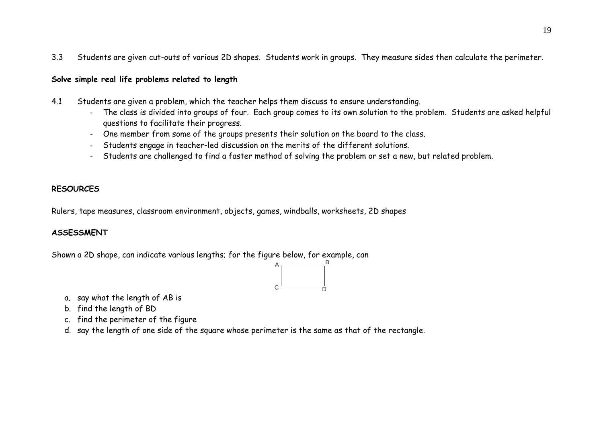3.3Students are given cut-outs of various 2D shapes. Students work in groups. They measure sides then calculate the perimeter.

### **Solve simple real life problems related to length**

- 4.1 Students are given a problem, which the teacher helps them discuss to ensure understanding.
	- - The class is divided into groups of four. Each group comes to its own solution to the problem. Students are asked helpful questions to facilitate their progress.
	- One member from some of the groups presents their solution on the board to the class.
	- -Students engage in teacher-led discussion on the merits of the different solutions.
	- Students are challenged to find a faster method of solving the problem or set a new, but related problem.

### **RESOURCES**

Rulers, tape measures, classroom environment, objects, games, windballs, worksheets, 2D shapes

### **ASSESSMENT**

Shown a 2D shape, can indicate various lengths; for the figure below, for example, can



- a. say what the length of AB is
- b. find the length of BD
- c. find the perimeter of the figure
- d. say the length of one side of the square whose perimeter is the same as that of the rectangle.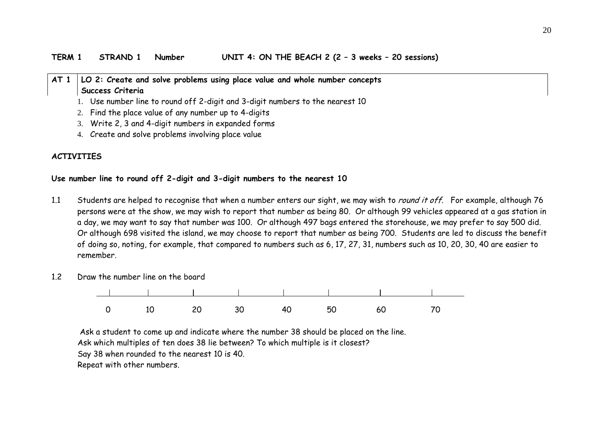### **AT 1 LO 2: Create and solve problems using place value and whole number concepts Success Criteria**

- 1. Use number line to round off 2-digit and 3-digit numbers to the nearest 10
- 2. Find the place value of any number up to 4-digits
- 3. Write 2, 3 and 4-digit numbers in expanded forms
- 4. Create and solve problems involving place value

### **ACTIVITIES**

#### **Use number line to round off 2-digit and 3-digit numbers to the nearest 10**

- 1.1 Students are helped to recognise that when a number enters our sight, we may wish to *round it off*. For example, although 76 persons were at the show, we may wish to report that number as being 80. Or although 99 vehicles appeared at a gas station in a day, we may want to say that number was 100. Or although 497 bags entered the storehouse, we may prefer to say 500 did. Or although 698 visited the island, we may choose to report that number as being 700. Students are led to discuss the benefit of doing so, noting, for example, that compared to numbers such as 6, 17, 27, 31, numbers such as 10, 20, 30, 40 are easier to remember.
- 1.2Draw the number line on the board



 Ask a student to come up and indicate where the number 38 should be placed on the line. Ask which multiples of ten does 38 lie between? To which multiple is it closest? Say 38 when rounded to the nearest 10 is 40. Repeat with other numbers.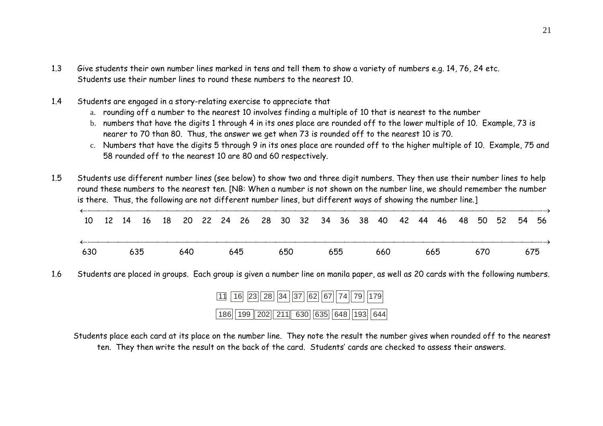- 1.3 Give students their own number lines marked in tens and tell them to show a variety of numbers e.g. 14, 76, 24 etc. Students use their number lines to round these numbers to the nearest 10.
- 1.4 Students are engaged in a story-relating exercise to appreciate that
	- a. rounding off a number to the nearest 10 involves finding a multiple of 10 that is nearest to the number
	- b. numbers that have the digits 1 through 4 in its ones place are rounded off to the lower multiple of 10. Example, 73 is nearer to 70 than 80. Thus, the answer we get when 73 is rounded off to the nearest 10 is 70.
	- c. Numbers that have the digits 5 through 9 in its ones place are rounded off to the higher multiple of 10. Example, 75 and 58 rounded off to the nearest 10 are 80 and 60 respectively.

1.5 Students use different number lines (see below) to show two and three digit numbers. They then use their number lines to help round these numbers to the nearest ten. [NB: When a number is not shown on the number line, we should remember the number is there. Thus, the following are not different number lines, but different ways of showing the number line.]

|     |  |  |  |  |  |  |  | 10 12 14 16 18 20 22 24 26 28 30 32 34 36 38 40 42 44 46 48 50 52 54 56 |  |  |  |  |
|-----|--|--|--|--|--|--|--|-------------------------------------------------------------------------|--|--|--|--|
| 630 |  |  |  |  |  |  |  | 635    640    645    650    655    660    665    670    675             |  |  |  |  |

1.6Students are placed in groups. Each group is given a number line on manila paper, as well as 20 cards with the following numbers.

| 11 16 23 28 34 37 62 67 74 79 179   |  |
|-------------------------------------|--|
| 186 199 202 211 630 635 648 193 644 |  |

 Students place each card at its place on the number line. They note the result the number gives when rounded off to the nearest ten. They then write the result on the back of the card. Students' cards are checked to assess their answers.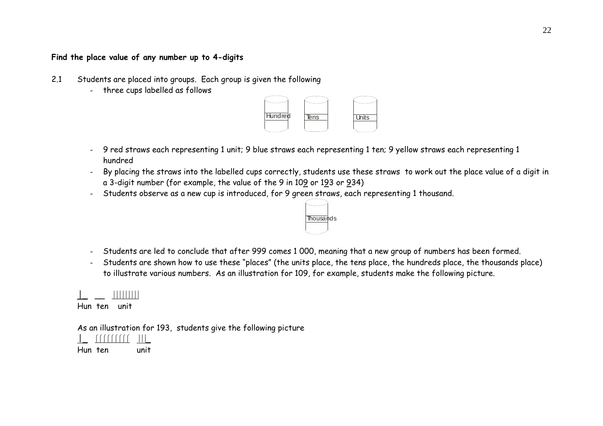### **Find the place value of any number up to 4-digits**

- 2.1 Students are placed into groups. Each group is given the following
	- three cups labelled as follows



- - 9 red straws each representing 1 unit; 9 blue straws each representing 1 ten; 9 yellow straws each representing 1 hundred
- By placing the straws into the labelled cups correctly, students use these straws to work out the place value of a digit in a 3-digit number (for example, the value of the 9 in 10<u>9</u> or 1<u>9</u>3 or <u>9</u>34)
- -Students observe as a new cup is introduced, for 9 green straws, each representing 1 thousand.



- Students are led to conclude that after 999 comes 1 000, meaning that a new group of numbers has been formed.
- - Students are shown how to use these "places" (the units place, the tens place, the hundreds place, the thousands place) to illustrate various numbers. As an illustration for 109, for example, students make the following picture.

### $\blacksquare$

Hun ten unit

As an illustration for 193, students give the following picture



Hun ten unit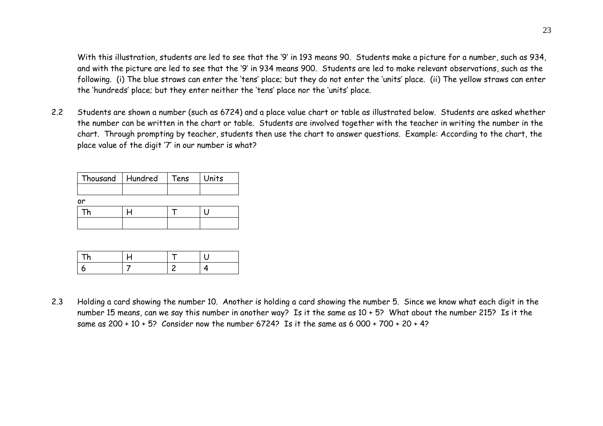With this illustration, students are led to see that the '9' in 193 means 90. Students make a picture for a number, such as 934, and with the picture are led to see that the '9' in 934 means 900. Students are led to make relevant observations, such as the following. (i) The blue straws can enter the 'tens' place; but they do not enter the 'units' place. (ii) The yellow straws can enter the 'hundreds' place; but they enter neither the 'tens' place nor the 'units' place.

2.2 Students are shown a number (such as 6724) and a place value chart or table as illustrated below. Students are asked whether the number can be written in the chart or table. Students are involved together with the teacher in writing the number in the chart. Through prompting by teacher, students then use the chart to answer questions. Example: According to the chart, the place value of the digit '7' in our number is what?

| Thousand   Hundred | Tens | Units |
|--------------------|------|-------|
|                    |      |       |
| ٥r                 |      |       |
|                    |      |       |
|                    |      |       |

2.3 Holding a card showing the number 10. Another is holding a card showing the number 5. Since we know what each digit in the number 15 means, can we say this number in another way? Is it the same as 10 + 5? What about the number 215? Is it the same as 200 + 10 + 5? Consider now the number 6724? Is it the same as 6 000 + 700 + 20 + 4?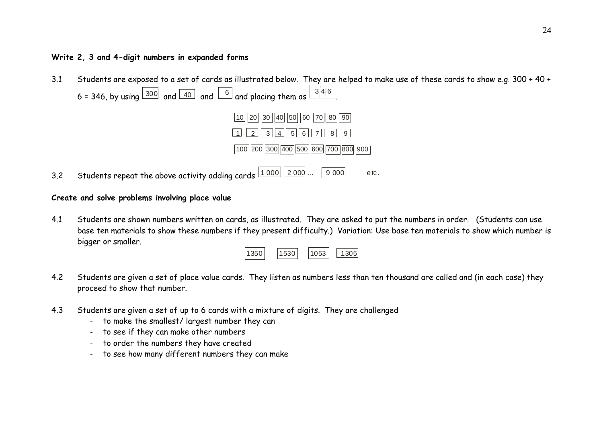### **Write 2, 3 and 4-digit numbers in expanded forms**

3.1 Students are exposed to a set of cards as illustrated below. They are helped to make use of these cards to show e.g. 300 + 40 + 6 = 346, by using  $\boxed{300}$  and  $\boxed{40}$  and  $\boxed{6}$  and placing them as  $\boxed{3|4|6}$  .



3.2Students repeat the above activity adding cards  $\boxed{1\ 000}\boxed{2\ 000}$  ...  $\boxed{9\ 000}$  etc.

### **Create and solve problems involving place value**

4.1 Students are shown numbers written on cards, as illustrated. They are asked to put the numbers in order. (Students can use base ten materials to show these numbers if they present difficulty.) Variation: Use base ten materials to show which number is bigger or smaller.

| 1350 <br>1530 <sub>1</sub><br>1053 |  |  |  | 1305 |
|------------------------------------|--|--|--|------|
|------------------------------------|--|--|--|------|

- 4.2 Students are given a set of place value cards. They listen as numbers less than ten thousand are called and (in each case) they proceed to show that number.
- 4.3 Students are given a set of up to 6 cards with a mixture of digits. They are challenged
	- to make the smallest/ largest number they can
	- to see if they can make other numbers
	- to order the numbers they have created
	- to see how many different numbers they can make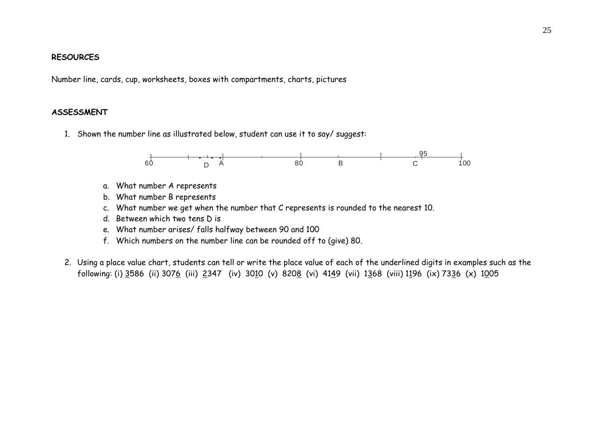#### **RESOURCES**

Number line, cards, cup, worksheets, boxes with compartments, charts, pictures

### **ASSESSMENT**

1. Shown the number line as illustrated below, student can use it to say/ suggest:



- a. What number A represents
- b. What number B represents
- c. What number we get when the number that C represents is rounded to the nearest 10.
- d. Between which two tens D is
- e. What number arises/ falls halfway between 90 and 100
- f. Which numbers on the number line can be rounded off to (give) 80.
- 2. Using a place value chart, students can tell or write the place value of each of the underlined digits in examples such as the following: (i) 3586 (ii) 3076 (iii) 2347 (iv) 3010 (v) 8208 (vi) 4149 (vii) 1368 (viii) 1196 (ix) 7336 (x) 1005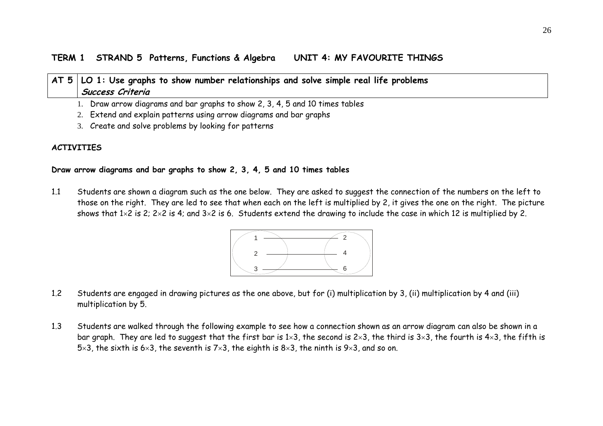### **TERM 1 STRAND 5 Patterns, Functions & Algebra UNIT 4: MY FAVOURITE THINGS**

# **AT 5 LO 1: Use graphs to show number relationships and solve simple real life problems Success Criteria**

1. Draw arrow diagrams and bar graphs to show 2, 3, 4, 5 and 10 times tables

- 2. Extend and explain patterns using arrow diagrams and bar graphs
- 3. Create and solve problems by looking for patterns

### **ACTIVITIES**

### **Draw arrow diagrams and bar graphs to show 2, 3, 4, 5 and 10 times tables**

1.1 Students are shown a diagram such as the one below. They are asked to suggest the connection of the numbers on the left to those on the right. They are led to see that when each on the left is multiplied by 2, it gives the one on the right. The picture shows that 1×2 is 2; 2×2 is 4; and 3×2 is 6. Students extend the drawing to include the case in which 12 is multiplied by 2.



- 1.2 Students are engaged in drawing pictures as the one above, but for (i) multiplication by 3, (ii) multiplication by 4 and (iii) multiplication by 5.
- 1.3 Students are walked through the following example to see how a connection shown as an arrow diagram can also be shown in a bar graph. They are led to suggest that the first bar is 1×3, the second is 2×3, the third is 3×3, the fourth is 4×3, the fifth is 5×3, the sixth is 6×3, the seventh is 7×3, the eighth is 8×3, the ninth is 9×3, and so on.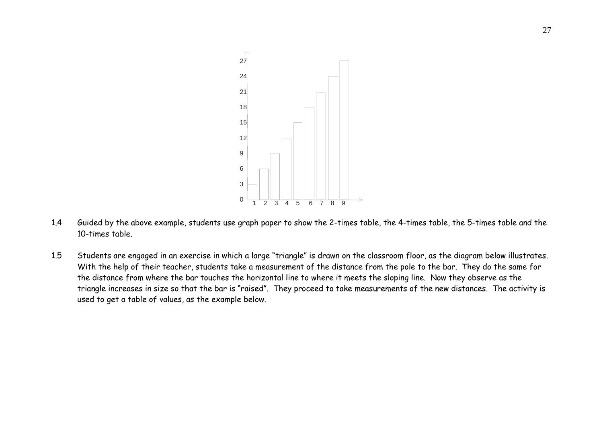

- 1.4 Guided by the above example, students use graph paper to show the 2-times table, the 4-times table, the 5-times table and the 10-times table.
- 1.5 Students are engaged in an exercise in which a large "triangle" is drawn on the classroom floor, as the diagram below illustrates. With the help of their teacher, students take a measurement of the distance from the pole to the bar. They do the same for the distance from where the bar touches the horizontal line to where it meets the sloping line. Now they observe as the triangle increases in size so that the bar is "raised". They proceed to take measurements of the new distances. The activity is used to get a table of values, as the example below.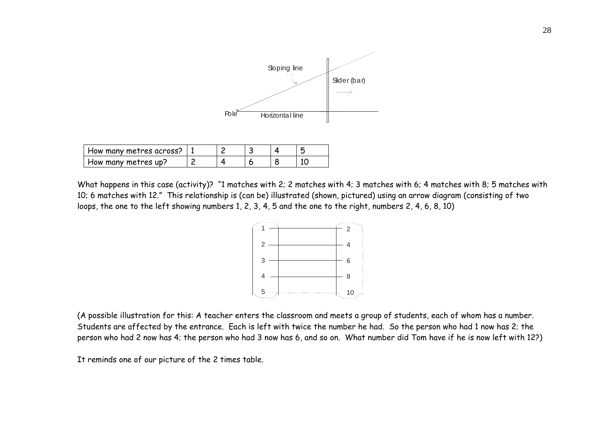

| How many metres across? |  |  |  |
|-------------------------|--|--|--|
| How many metres up?     |  |  |  |

What happens in this case (activity)? "1 matches with 2; 2 matches with 4; 3 matches with 6; 4 matches with 8; 5 matches with 10; 6 matches with 12." This relationship is (can be) illustrated (shown, pictured) using an arrow diagram (consisting of two loops, the one to the left showing numbers 1, 2, 3, 4, 5 and the one to the right, numbers 2, 4, 6, 8, 10)



(A possible illustration for this: A teacher enters the classroom and meets a group of students, each of whom has a number. Students are affected by the entrance. Each is left with twice the number he had. So the person who had 1 now has 2; the person who had 2 now has 4; the person who had 3 now has 6, and so on. What number did Tom have if he is now left with 12?)

It reminds one of our picture of the 2 times table.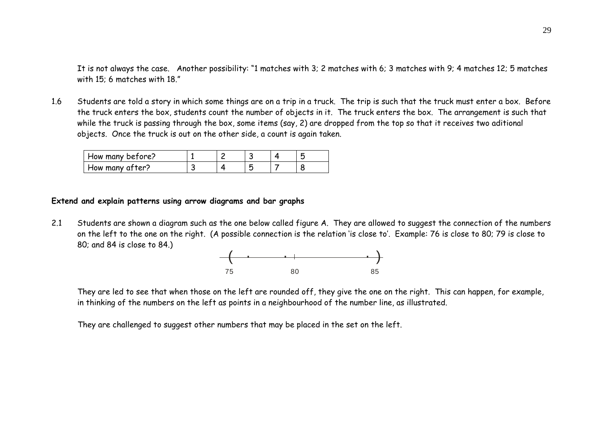It is not always the case. Another possibility: "1 matches with 3; 2 matches with 6; 3 matches with 9; 4 matches 12; 5 matches with 15; 6 matches with 18."

1.6 Students are told a story in which some things are on a trip in a truck. The trip is such that the truck must enter a box. Before the truck enters the box, students count the number of objects in it. The truck enters the box. The arrangement is such that while the truck is passing through the box, some items (say, 2) are dropped from the top so that it receives two aditional objects. Once the truck is out on the other side, a count is again taken.

| How many before? |  |  |  |
|------------------|--|--|--|
| How many after?  |  |  |  |

### **Extend and explain patterns using arrow diagrams and bar graphs**

2.1 Students are shown a diagram such as the one below called figure A. They are allowed to suggest the connection of the numbers on the left to the one on the right. (A possible connection is the relation 'is close to'. Example: 76 is close to 80; 79 is close to 80; and 84 is close to 84.)



They are led to see that when those on the left are rounded off, they give the one on the right. This can happen, for example, in thinking of the numbers on the left as points in a neighbourhood of the number line, as illustrated.

They are challenged to suggest other numbers that may be placed in the set on the left.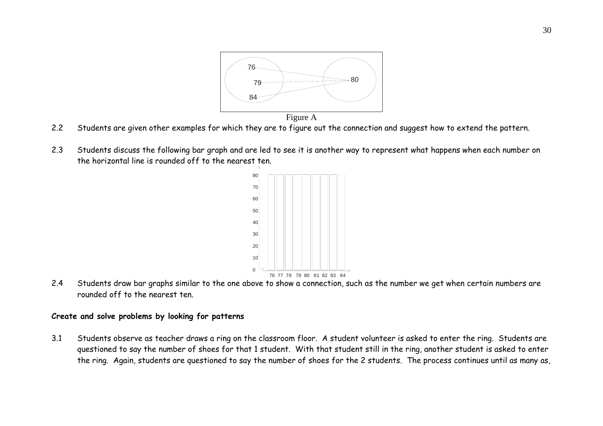

- 2.2Students are given other examples for which they are to figure out the connection and suggest how to extend the pattern.
- 2.3 Students discuss the following bar graph and are led to see it is another way to represent what happens when each number on the horizontal line is rounded off to the nearest ten.



2.4 Students draw bar graphs similar to the one above to show a connection, such as the number we get when certain numbers are rounded off to the nearest ten.

### **Create and solve problems by looking for patterns**

3.1 Students observe as teacher draws a ring on the classroom floor. A student volunteer is asked to enter the ring. Students are questioned to say the number of shoes for that 1 student. With that student still in the ring, another student is asked to enter the ring. Again, students are questioned to say the number of shoes for the 2 students. The process continues until as many as,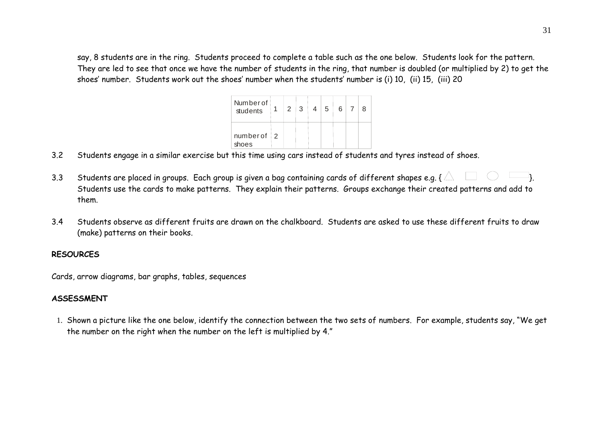say, 8 students are in the ring. Students proceed to complete a table such as the one below. Students look for the pattern. They are led to see that once we have the number of students in the ring, that number is doubled (or multiplied by 2) to get the shoes' number. Students work out the shoes' number when the students' number is (i) 10, (ii) 15, (iii) 20

| Numberof<br>students   | $\vert 2 \vert$ | $+3^{-1}$ | 5 | $6 \mid 7$ |  |
|------------------------|-----------------|-----------|---|------------|--|
| $number of 2$<br>shoes |                 |           |   |            |  |

- 3.2Students engage in a similar exercise but this time using cars instead of students and tyres instead of shoes.
- 3.3Students are placed in groups. Each group is given a bag containing cards of different shapes e.g. {  $\triangle \quad \Box \quad \bigcirc \quad \Box$  }. Students use the cards to make patterns. They explain their patterns. Groups exchange their created patterns and add to them.
- 3.4 Students observe as different fruits are drawn on the chalkboard. Students are asked to use these different fruits to draw (make) patterns on their books.

### **RESOURCES**

Cards, arrow diagrams, bar graphs, tables, sequences

### **ASSESSMENT**

1. Shown a picture like the one below, identify the connection between the two sets of numbers. For example, students say, "We get the number on the right when the number on the left is multiplied by 4."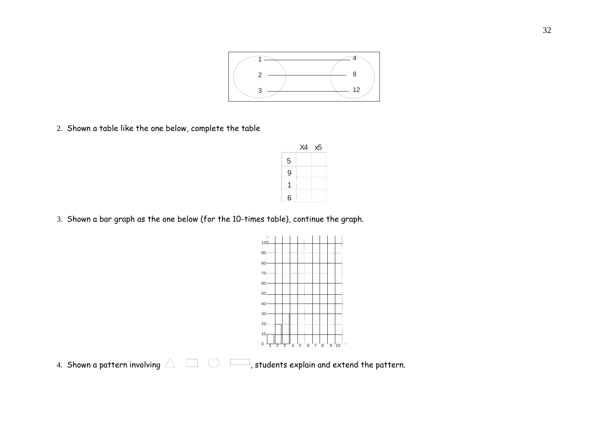

2. Shown a table like the one below, complete the table

|                | X4 | x5 |
|----------------|----|----|
| 5              |    |    |
| 9              |    |    |
|                |    |    |
| $6\phantom{a}$ |    |    |

3. Shown a bar graph as the one below (for the 10-times table), continue the graph.



4. Shown a pattern involving  $\triangle$  $\exists$ , students explain and extend the pattern.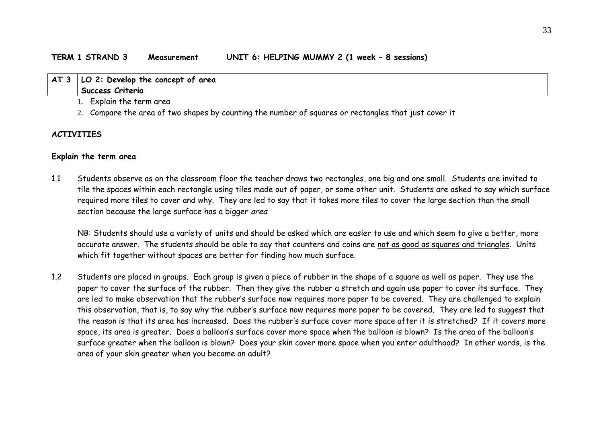### **AT 3 LO 2: Develop the concept of area Success Criteria**

- 1. Explain the term area
- 2. Compare the area of two shapes by counting the number of squares or rectangles that just cover it

#### **ACTIVITIES**

#### **Explain the term area**

1.1 Students observe as on the classroom floor the teacher draws two rectangles, one big and one small. Students are invited to tile the spaces within each rectangle using tiles made out of paper, or some other unit. Students are asked to say which surface required more tiles to cover and why. They are led to say that it takes more tiles to cover the large section than the small section because the large surface has a bigger area.

 NB: Students should use a variety of units and should be asked which are easier to use and which seem to give a better, more accurate answer. The students should be able to say that counters and coins are not as good as squares and triangles. Units which fit together without spaces are better for finding how much surface.

1.2 Students are placed in groups. Each group is given a piece of rubber in the shape of a square as well as paper. They use the paper to cover the surface of the rubber. Then they give the rubber a stretch and again use paper to cover its surface. They are led to make observation that the rubber's surface now requires more paper to be covered. They are challenged to explain this observation, that is, to say why the rubber's surface now requires more paper to be covered. They are led to suggest that the reason is that its area has increased. Does the rubber's surface cover more space after it is stretched? If it covers more space, its area is greater. Does a balloon's surface cover more space when the balloon is blown? Is the area of the balloon's surface greater when the balloon is blown? Does your skin cover more space when you enter adulthood? In other words, is the area of your skin greater when you become an adult?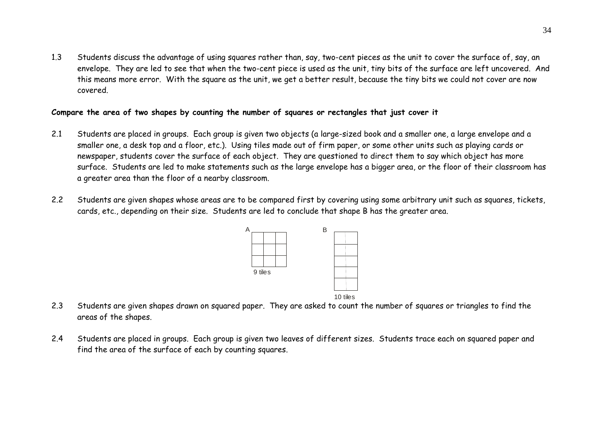1.3 Students discuss the advantage of using squares rather than, say, two-cent pieces as the unit to cover the surface of, say, an envelope. They are led to see that when the two-cent piece is used as the unit, tiny bits of the surface are left uncovered. And this means more error. With the square as the unit, we get a better result, because the tiny bits we could not cover are now covered.

### **Compare the area of two shapes by counting the number of squares or rectangles that just cover it**

- 2.1 Students are placed in groups. Each group is given two objects (a large-sized book and a smaller one, a large envelope and a smaller one, a desk top and a floor, etc.). Using tiles made out of firm paper, or some other units such as playing cards or newspaper, students cover the surface of each object. They are questioned to direct them to say which object has more surface. Students are led to make statements such as the large envelope has a bigger area, or the floor of their classroom has a greater area than the floor of a nearby classroom.
- 2.2 Students are given shapes whose areas are to be compared first by covering using some arbitrary unit such as squares, tickets, cards, etc., depending on their size. Students are led to conclude that shape B has the greater area.



- 2.3 Students are given shapes drawn on squared paper. They are asked to count the number of squares or triangles to find the areas of the shapes.
- 2.4 Students are placed in groups. Each group is given two leaves of different sizes. Students trace each on squared paper and find the area of the surface of each by counting squares.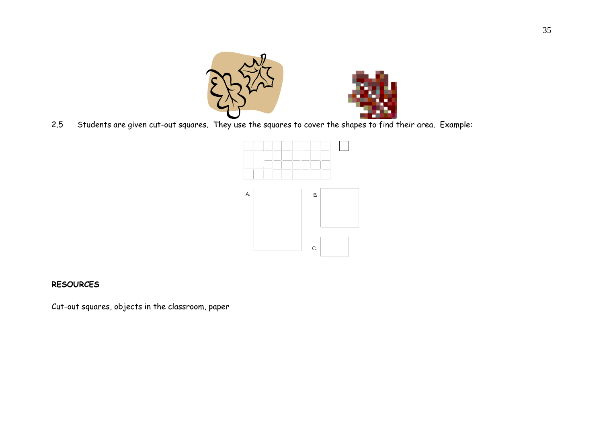



2.5Students are given cut-out squares. They use the squares to cover the shapes to find their area. Example:



### **RESOURCES**

Cut-out squares, objects in the classroom, paper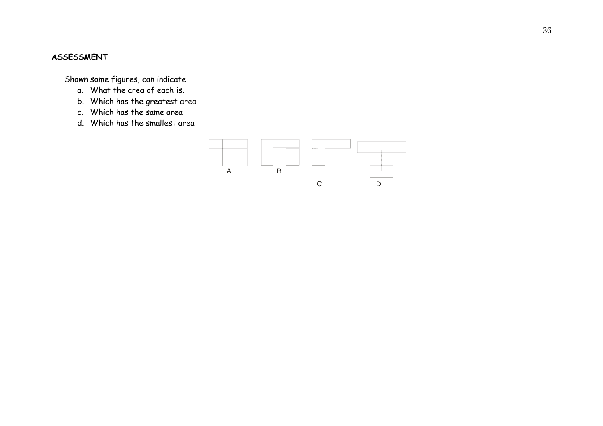### **ASSESSMENT**

Shown some figures, can indicate

- a. What the area of each is.
- b. Which has the greatest area
- c. Which has the same area
- d. Which has the smallest area

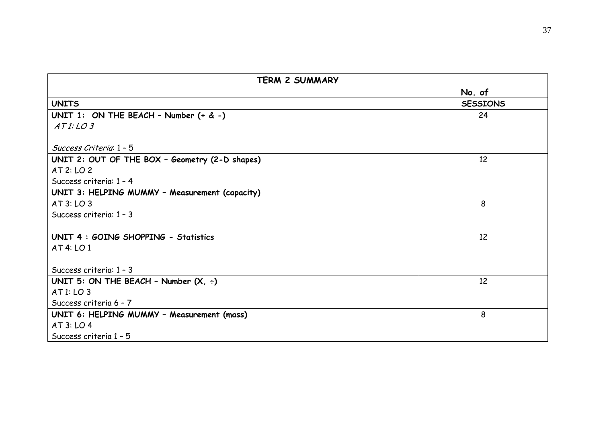| No. of<br><b>UNITS</b><br><b>SESSIONS</b><br>UNIT 1: ON THE BEACH - Number $(+ \& -)$<br>24<br>ATI: LO3<br>Success Criteria 1 - 5<br>UNIT 2: OUT OF THE BOX - Geometry (2-D shapes)<br>12<br>AT 2: LO 2<br>Success criteria: 1 - 4 | <b>TERM 2 SUMMARY</b>                          |  |  |
|------------------------------------------------------------------------------------------------------------------------------------------------------------------------------------------------------------------------------------|------------------------------------------------|--|--|
|                                                                                                                                                                                                                                    |                                                |  |  |
|                                                                                                                                                                                                                                    |                                                |  |  |
|                                                                                                                                                                                                                                    |                                                |  |  |
|                                                                                                                                                                                                                                    |                                                |  |  |
|                                                                                                                                                                                                                                    |                                                |  |  |
|                                                                                                                                                                                                                                    |                                                |  |  |
|                                                                                                                                                                                                                                    |                                                |  |  |
|                                                                                                                                                                                                                                    |                                                |  |  |
|                                                                                                                                                                                                                                    | UNIT 3: HELPING MUMMY - Measurement (capacity) |  |  |
| 8<br>AT 3: LO 3                                                                                                                                                                                                                    |                                                |  |  |
| Success criteria: 1 - 3                                                                                                                                                                                                            |                                                |  |  |
| 12<br>UNIT 4 : GOING SHOPPING - Statistics                                                                                                                                                                                         |                                                |  |  |
| AT 4: LO 1                                                                                                                                                                                                                         |                                                |  |  |
| Success criteria: 1 - 3                                                                                                                                                                                                            |                                                |  |  |
| 12<br>UNIT 5: ON THE BEACH - Number $(X, \div)$                                                                                                                                                                                    |                                                |  |  |
| AT 1: LO 3                                                                                                                                                                                                                         |                                                |  |  |
| Success criteria 6 - 7                                                                                                                                                                                                             |                                                |  |  |
| 8<br>UNIT 6: HELPING MUMMY - Measurement (mass)                                                                                                                                                                                    |                                                |  |  |
| AT 3: LO 4                                                                                                                                                                                                                         |                                                |  |  |
| Success criteria 1 - 5                                                                                                                                                                                                             |                                                |  |  |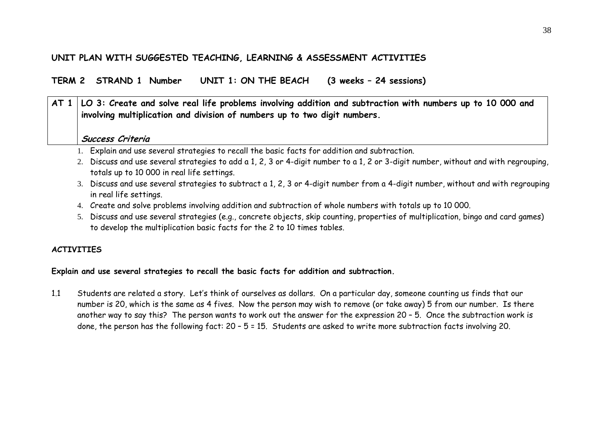# **UNIT PLAN WITH SUGGESTED TEACHING, LEARNING & ASSESSMENT ACTIVITIES**

**TERM 2 STRAND 1 Number UNIT 1: ON THE BEACH (3 weeks – 24 sessions)** 

# **AT 1 LO 3: Create and solve real life problems involving addition and subtraction with numbers up to 10 000 and involving multiplication and division of numbers up to two digit numbers.**

## **Success Criteria**

- 1. Explain and use several strategies to recall the basic facts for addition and subtraction.
- 2. Discuss and use several strategies to add a 1, 2, 3 or 4-digit number to a 1, 2 or 3-digit number, without and with regrouping, totals up to 10 000 in real life settings.
- 3. Discuss and use several strategies to subtract a 1, 2, 3 or 4-digit number from a 4-digit number, without and with regrouping in real life settings.
- 4. Create and solve problems involving addition and subtraction of whole numbers with totals up to 10 000.
- 5. Discuss and use several strategies (e.g., concrete objects, skip counting, properties of multiplication, bingo and card games) to develop the multiplication basic facts for the 2 to 10 times tables.

## **ACTIVITIES**

## **Explain and use several strategies to recall the basic facts for addition and subtraction.**

1.1 Students are related a story. Let's think of ourselves as dollars. On a particular day, someone counting us finds that our number is 20, which is the same as 4 fives. Now the person may wish to remove (or take away) 5 from our number. Is there another way to say this? The person wants to work out the answer for the expression 20 – 5. Once the subtraction work is done, the person has the following fact: 20 – 5 = 15. Students are asked to write more subtraction facts involving 20.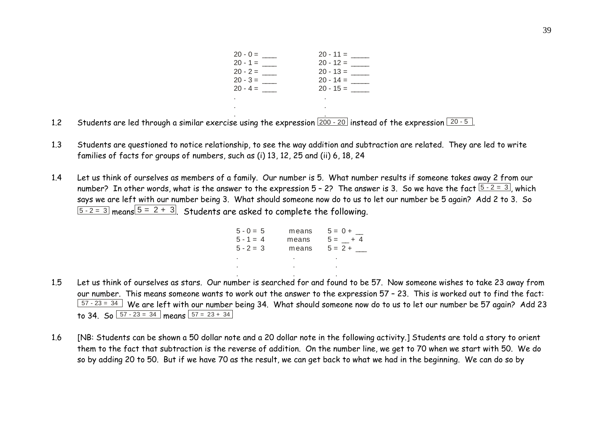| $20 - 0 =$ | $20 - 11 =$ |
|------------|-------------|
| $20 - 1 =$ | $20 - 12 =$ |
| $20 - 2 =$ | $20 - 13 =$ |
| $20 - 3 =$ | $20 - 14 =$ |
| $20 - 4 =$ | $20 - 15 =$ |
| ٠          |             |
| ٠          |             |

.

2 Students are led through a similar exercise using the expression  $\boxed{200$  - 20 instead of the expression  $\boxed{20$  - 5  $}$ . 1.2

.

- 1.3 Students are questioned to notice relationship, to see the way addition and subtraction are related. They are led to write families of facts for groups of numbers, such as (i) 13, 12, 25 and (ii) 6, 18, 24
- 1.4 Let us think of ourselves as members of a family. Our number is 5. What number results if someone takes away 2 from our number? In other words, what is the answer to the expression  $5 - 2$ ? The answer is 3. So we have the fact  $\sqrt{5-2}=3$ , which says we are left with our number being 3. What should someone now do to us to let our number be 5 again? Add 2 to 3. So  $\sqrt{5-2}$  = 3 means  $\sqrt{5}$  = 2 + 3. Students are asked to complete the following.

| $5 - 0 = 5$ | means | $5 = 0 + \_$ |
|-------------|-------|--------------|
| $5 - 1 = 4$ | means | $5 = +4$     |
| $5 - 2 = 3$ | means | $5 = 2 +$    |
| ä.          | ٠     |              |
| ٠           | ٠     |              |

1.5 Let us think of ourselves as stars. Our number is searched for and found to be 57. Now someone wishes to take 23 away from our number. This means someone wants to work out the answer to the expression 57 – 23. This is worked out to find the fact:  $\overline{57\cdot 23}$  = 34 We are left with our number being 34. What should someone now do to us to let our number be 57 again? Add 23 to 34. So  $\sqrt{57 - 23} = 34$  means  $\sqrt{57 - 23 + 34}$ 

. . .

1.6 [NB: Students can be shown a 50 dollar note and a 20 dollar note in the following activity.] Students are told a story to orient them to the fact that subtraction is the reverse of addition. On the number line, we get to 70 when we start with 50. We do so by adding 20 to 50. But if we have 70 as the result, we can get back to what we had in the beginning. We can do so by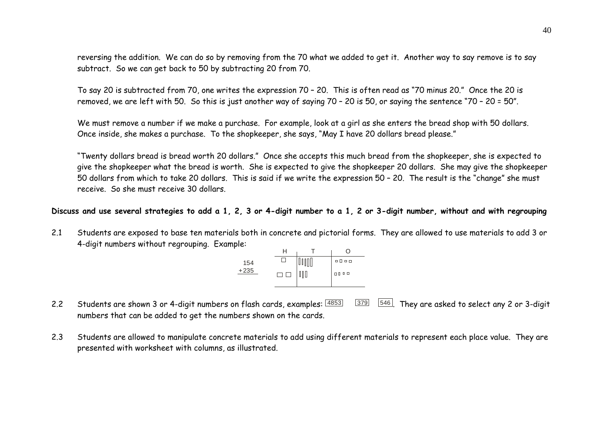reversing the addition. We can do so by removing from the 70 what we added to get it. Another way to say remove is to say subtract. So we can get back to 50 by subtracting 20 from 70.

To say 20 is subtracted from 70, one writes the expression 70 – 20. This is often read as "70 minus 20." Once the 20 is removed, we are left with 50. So this is just another way of saying 70 – 20 is 50, or saying the sentence "70 – 20 = 50".

We must remove a number if we make a purchase. For example, look at a girl as she enters the bread shop with 50 dollars. Once inside, she makes a purchase. To the shopkeeper, she says, "May I have 20 dollars bread please."

"Twenty dollars bread is bread worth 20 dollars." Once she accepts this much bread from the shopkeeper, she is expected to give the shopkeeper what the bread is worth. She is expected to give the shopkeeper 20 dollars. She may give the shopkeeper 50 dollars from which to take 20 dollars. This is said if we write the expression 50 – 20. The result is the "change" she must receive. So she must receive 30 dollars.

#### **Discuss and use several strategies to add a 1, 2, 3 or 4-digit number to a 1, 2 or 3-digit number, without and with regrouping**

2.1 Students are exposed to base ten materials both in concrete and pictorial forms. They are allowed to use materials to add 3 or 4-digit numbers without regrouping. Example:

| 154    |  | $\begin{array}{c} \square \ \square \ \square \ \square \end{array}$ |
|--------|--|----------------------------------------------------------------------|
| $+235$ |  | <b>0000</b>                                                          |
|        |  |                                                                      |

- 2.2Students are shown 3 or 4-digit numbers on flash cards, examples:  $\frac{4853}{379}$   $\frac{546}{546}$ . They are asked to select any 2 or 3-digit numbers that can be added to get the numbers shown on the cards.
- 2.3 Students are allowed to manipulate concrete materials to add using different materials to represent each place value. They are presented with worksheet with columns, as illustrated.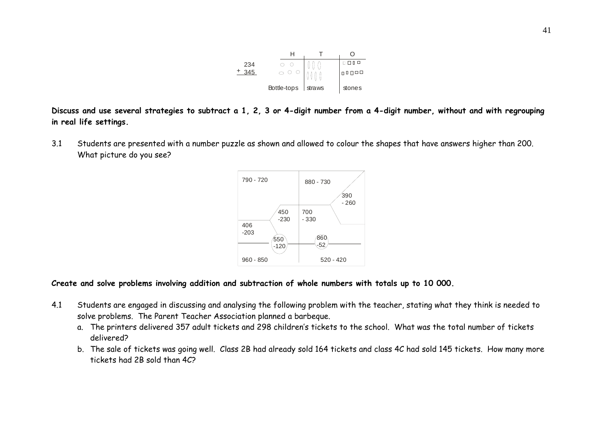

**Discuss and use several strategies to subtract a 1, 2, 3 or 4-digit number from a 4-digit number, without and with regrouping in real life settings.** 

3.1 Students are presented with a number puzzle as shown and allowed to colour the shapes that have answers higher than 200. What picture do you see?



#### **Create and solve problems involving addition and subtraction of whole numbers with totals up to 10 000.**

- 4.1 Students are engaged in discussing and analysing the following problem with the teacher, stating what they think is needed to solve problems. The Parent Teacher Association planned a barbeque.
	- a. The printers delivered 357 adult tickets and 298 children's tickets to the school. What was the total number of tickets delivered?
	- b. The sale of tickets was going well. Class 2B had already sold 164 tickets and class 4C had sold 145 tickets. How many more tickets had 2B sold than 4C?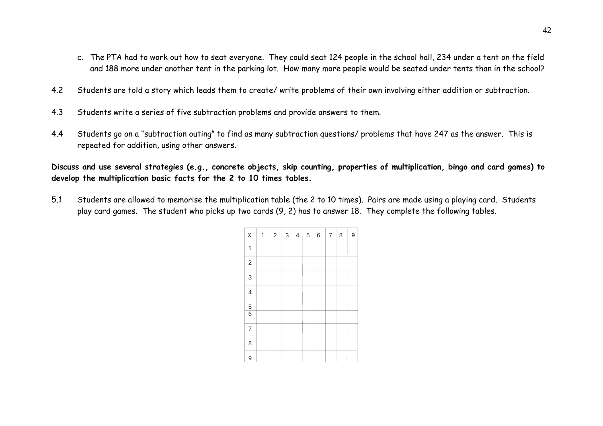- c. The PTA had to work out how to seat everyone. They could seat 124 people in the school hall, 234 under a tent on the field and 188 more under another tent in the parking lot. How many more people would be seated under tents than in the school?
- 4.2Students are told a story which leads them to create/ write problems of their own involving either addition or subtraction.
- 4.3Students write a series of five subtraction problems and provide answers to them.
- 4.4 Students go on a "subtraction outing" to find as many subtraction questions/ problems that have 247 as the answer. This is repeated for addition, using other answers.

**Discuss and use several strategies (e.g., concrete objects, skip counting, properties of multiplication, bingo and card games) to develop the multiplication basic facts for the 2 to 10 times tables.** 

5.1 Students are allowed to memorise the multiplication table (the 2 to 10 times). Pairs are made using a playing card. Students play card games. The student who picks up two cards (9, 2) has to answer 18. They complete the following tables.

| X                        | 1 | $\sqrt{2}$ | $\ensuremath{\mathsf{3}}$ | 4 | $\mathbf 5$ | $\,$ 6 $\,$ | $\overline{7}$ | 8 | 9 |
|--------------------------|---|------------|---------------------------|---|-------------|-------------|----------------|---|---|
| 1                        |   |            |                           |   |             |             |                |   |   |
| $\overline{c}$           |   |            |                           |   |             |             |                |   |   |
| 3                        |   |            |                           |   |             |             |                |   |   |
| $\overline{\mathcal{A}}$ |   |            |                           |   |             |             |                |   |   |
| $\frac{5}{6}$            |   |            |                           |   |             |             |                |   |   |
|                          |   |            |                           |   |             |             |                |   |   |
| $\overline{7}$           |   |            |                           |   |             |             |                |   |   |
| 8                        |   |            |                           |   |             |             |                |   |   |
| 9                        |   |            |                           |   |             |             |                |   |   |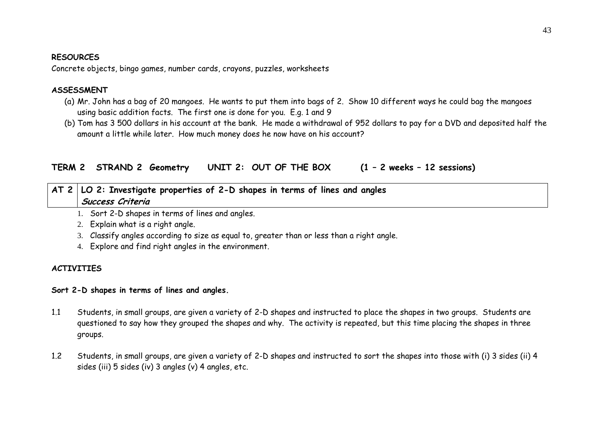#### **RESOURCES**

Concrete objects, bingo games, number cards, crayons, puzzles, worksheets

### **ASSESSMENT**

- (a) Mr. John has a bag of 20 mangoes. He wants to put them into bags of 2. Show 10 different ways he could bag the mangoes using basic addition facts. The first one is done for you. E.g. 1 and 9
- (b) Tom has 3 500 dollars in his account at the bank. He made a withdrawal of 952 dollars to pay for a DVD and deposited half the amount a little while later. How much money does he now have on his account?

**TERM 2 STRAND 2 Geometry UNIT 2: OUT OF THE BOX (1 – 2 weeks – 12 sessions)** 

# **AT 2 LO 2: Investigate properties of 2-D shapes in terms of lines and angles Success Criteria**

1. Sort 2-D shapes in terms of lines and angles.

- 2. Explain what is a right angle.
- 3. Classify angles according to size as equal to, greater than or less than a right angle.
- 4. Explore and find right angles in the environment.

## **ACTIVITIES**

### **Sort 2-D shapes in terms of lines and angles.**

- 1.1 Students, in small groups, are given a variety of 2-D shapes and instructed to place the shapes in two groups. Students are questioned to say how they grouped the shapes and why. The activity is repeated, but this time placing the shapes in three groups.
- 1.2 Students, in small groups, are given a variety of 2-D shapes and instructed to sort the shapes into those with (i) 3 sides (ii) 4 sides (iii) 5 sides (iv) 3 angles (v) 4 angles, etc.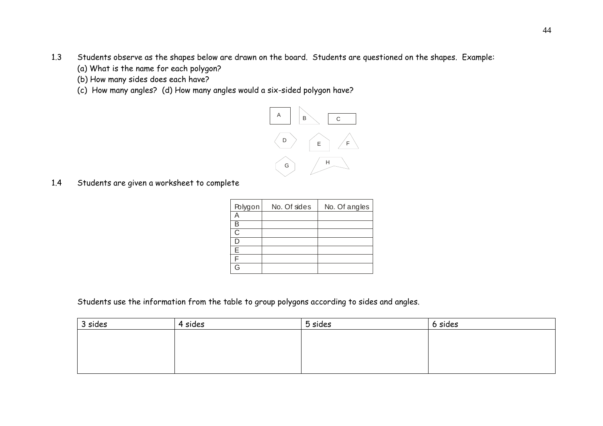- 1.3 Students observe as the shapes below are drawn on the board. Students are questioned on the shapes. Example:
	- (a) What is the name for each polygon?
	- (b) How many sides does each have?
	- (c) How many angles? (d) How many angles would a six-sided polygon have?



1.4Students are given a worksheet to complete

| Polygon | No. Of sides | No. Of angles |
|---------|--------------|---------------|
|         |              |               |
|         |              |               |
| C       |              |               |
|         |              |               |
| F       |              |               |
|         |              |               |
| ٦       |              |               |

Students use the information from the table to group polygons according to sides and angles.

| 3 sides | 4 sides | 5 sides | 6 sides |
|---------|---------|---------|---------|
|         |         |         |         |
|         |         |         |         |
|         |         |         |         |
|         |         |         |         |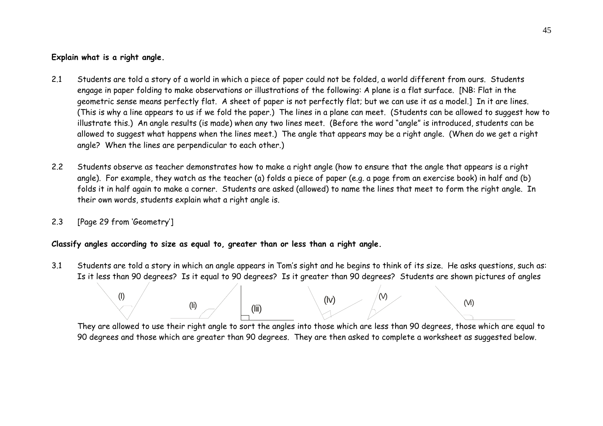## **Explain what is a right angle.**

- 2.1 Students are told a story of a world in which a piece of paper could not be folded, a world different from ours. Students engage in paper folding to make observations or illustrations of the following: A plane is a flat surface. [NB: Flat in the geometric sense means perfectly flat. A sheet of paper is not perfectly flat; but we can use it as a model.] In it are lines. (This is why a line appears to us if we fold the paper.) The lines in a plane can meet. (Students can be allowed to suggest how to illustrate this.) An angle results (is made) when any two lines meet. (Before the word "angle" is introduced, students can be allowed to suggest what happens when the lines meet.) The angle that appears may be a right angle. (When do we get a right angle? When the lines are perpendicular to each other.)
- 2.2 Students observe as teacher demonstrates how to make a right angle (how to ensure that the angle that appears is a right angle). For example, they watch as the teacher (a) folds a piece of paper (e.g. a page from an exercise book) in half and (b) folds it in half again to make a corner. Students are asked (allowed) to name the lines that meet to form the right angle. In their own words, students explain what a right angle is.
- 2.3[Page 29 from 'Geometry']

### **Classify angles according to size as equal to, greater than or less than a right angle.**

3.1 Students are told a story in which an angle appears in Tom's sight and he begins to think of its size. He asks questions, such as: Is it less than 90 degrees? Is it equal to 90 degrees? Is it greater than 90 degrees? Students are shown pictures of angles



They are allowed to use their right angle to sort the angles into those which are less than 90 degrees, those which are equal to 90 degrees and those which are greater than 90 degrees. They are then asked to complete a worksheet as suggested below.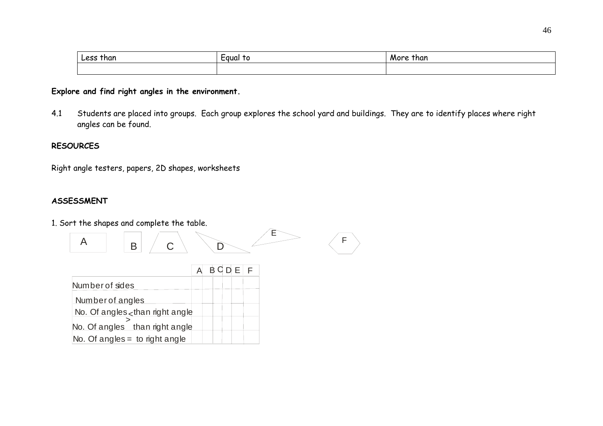| Less than | Equal<br>TO | than<br>More |
|-----------|-------------|--------------|
|           |             |              |

# **Explore and find right angles in the environment.**

4.1 Students are placed into groups. Each group explores the school yard and buildings. They are to identify places where right angles can be found.

### **RESOURCES**

Right angle testers, papers, 2D shapes, worksheets

# **ASSESSMENT**

1. Sort the shapes and complete the table.



|                                  |  |  | D E I | F |
|----------------------------------|--|--|-------|---|
| Number of sides                  |  |  |       |   |
| Number of angles                 |  |  |       |   |
| No. Of angles than right angle   |  |  |       |   |
| No. Of angles than right angle   |  |  |       |   |
| No. Of angles $=$ to right angle |  |  |       |   |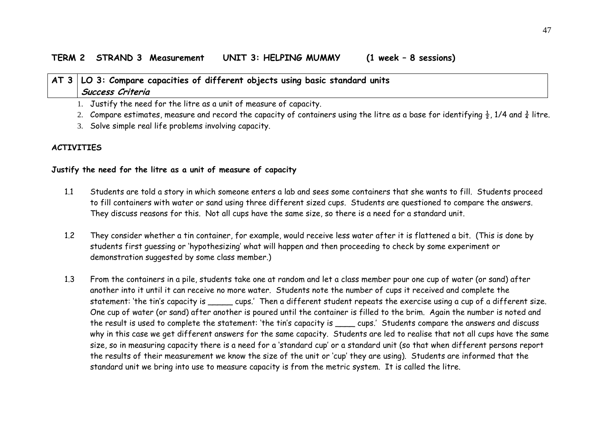### **TERM 2 STRAND 3 Measurement UNIT 3: HELPING MUMMY (1 week – 8 sessions)**

# **AT 3 LO 3: Compare capacities of different objects using basic standard units Success Criteria**

1. Justify the need for the litre as a unit of measure of capacity.

- 2. Compare estimates, measure and record the capacity of containers using the litre as a base for identifying  $\frac{1}{2}$ , 1/4 and  $\frac{3}{4}$  litre.
- 3. Solve simple real life problems involving capacity.

## **ACTIVITIES**

### **Justify the need for the litre as a unit of measure of capacity**

- 1.1 Students are told a story in which someone enters a lab and sees some containers that she wants to fill. Students proceed to fill containers with water or sand using three different sized cups. Students are questioned to compare the answers. They discuss reasons for this. Not all cups have the same size, so there is a need for a standard unit.
- 1.2 They consider whether a tin container, for example, would receive less water after it is flattened a bit. (This is done by students first guessing or 'hypothesizing' what will happen and then proceeding to check by some experiment or demonstration suggested by some class member.)
- 1.3 From the containers in a pile, students take one at random and let a class member pour one cup of water (or sand) after another into it until it can receive no more water. Students note the number of cups it received and complete the statement: 'the tin's capacity is \_\_\_\_\_ cups.' Then a different student repeats the exercise using a cup of a different size. One cup of water (or sand) after another is poured until the container is filled to the brim. Again the number is noted and the result is used to complete the statement: 'the tin's capacity is \_\_\_\_ cups.' Students compare the answers and discuss why in this case we get different answers for the same capacity. Students are led to realise that not all cups have the same size, so in measuring capacity there is a need for a 'standard cup' or a standard unit (so that when different persons report the results of their measurement we know the size of the unit or 'cup' they are using). Students are informed that the standard unit we bring into use to measure capacity is from the metric system. It is called the litre.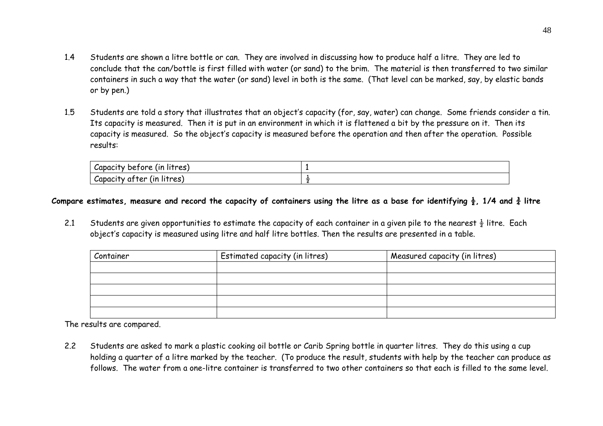- 1.4 Students are shown a litre bottle or can. They are involved in discussing how to produce half a litre. They are led to conclude that the can/bottle is first filled with water (or sand) to the brim. The material is then transferred to two similar containers in such a way that the water (or sand) level in both is the same. (That level can be marked, say, by elastic bands or by pen.)
- 1.5 Students are told a story that illustrates that an object's capacity (for, say, water) can change. Some friends consider a tin. Its capacity is measured. Then it is put in an environment in which it is flattened a bit by the pressure on it. Then its capacity is measured. So the object's capacity is measured before the operation and then after the operation. Possible results:

| .<br>Capacity before (in litres)           |  |
|--------------------------------------------|--|
| .<br>capacity<br>litres<br>ter (ın<br>at ' |  |

### Compare estimates, measure and record the capacity of containers using the litre as a base for identifying  $\frac{1}{2}$ , 1/4 and  $\frac{3}{4}$  litre

2.1 Students are given opportunities to estimate the capacity of each container in a given pile to the nearest  $\frac{1}{2}$  litre. Each object's capacity is measured using litre and half litre bottles. Then the results are presented in a table.

| Container | Estimated capacity (in litres) | Measured capacity (in litres) |
|-----------|--------------------------------|-------------------------------|
|           |                                |                               |
|           |                                |                               |
|           |                                |                               |
|           |                                |                               |
|           |                                |                               |

The results are compared.

2.2 Students are asked to mark a plastic cooking oil bottle or Carib Spring bottle in quarter litres. They do this using a cup holding a quarter of a litre marked by the teacher. (To produce the result, students with help by the teacher can produce as follows. The water from a one-litre container is transferred to two other containers so that each is filled to the same level.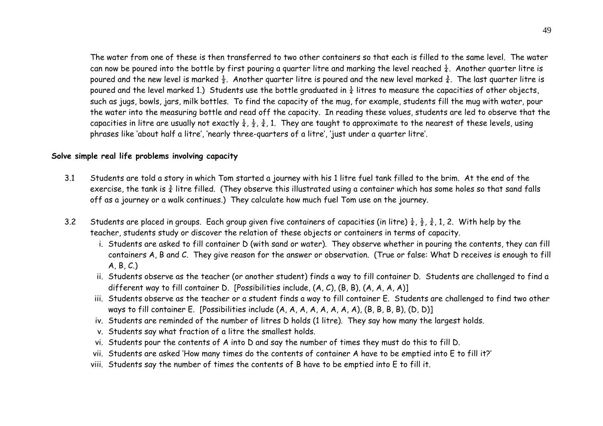The water from one of these is then transferred to two other containers so that each is filled to the same level. The water can now be poured into the bottle by first pouring a quarter litre and marking the level reached  $\frac{1}{4}$ . Another quarter litre is poured and the new level is marked  $\frac{1}{2}$ . Another quarter litre is poured and the new level marked  $\frac{3}{4}$ . The last quarter litre is poured and the level marked 1.) Students use the bottle graduated in  $\frac{1}{4}$  litres to measure the capacities of other objects, such as jugs, bowls, jars, milk bottles. To find the capacity of the mug, for example, students fill the mug with water, pour the water into the measuring bottle and read off the capacity. In reading these values, students are led to observe that the capacities in litre are usually not exactly  $\frac{1}{4}$ ,  $\frac{3}{2}$ , 1. They are taught to approximate to the nearest of these levels, using phrases like 'about half a litre', 'nearly three-quarters of a litre', 'just under a quarter litre'.

#### **Solve simple real life problems involving capacity**

- 3.1 Students are told a story in which Tom started a journey with his 1 litre fuel tank filled to the brim. At the end of the exercise, the tank is  $\frac{3}{4}$  litre filled. (They observe this illustrated using a container which has some holes so that sand falls off as a journey or a walk continues.) They calculate how much fuel Tom use on the journey.
- 3.2Students are placed in groups. Each group given five containers of capacities (in litre)  $\frac{1}{4}$ ,  $\frac{1}{2}$ ,  $\frac{3}{4}$ , 1, 2. With help by the teacher, students study or discover the relation of these objects or containers in terms of capacity.
	- i. Students are asked to fill container D (with sand or water). They observe whether in pouring the contents, they can fill containers A, B and C. They give reason for the answer or observation. (True or false: What D receives is enough to fill A, B, C.)
	- ii. Students observe as the teacher (or another student) finds a way to fill container D. Students are challenged to find a different way to fill container D. [Possibilities include, (A, C), (B, B), (A, A, A, A)]
	- iii. Students observe as the teacher or a student finds a way to fill container E. Students are challenged to find two other ways to fill container E. [Possibilities include (A, A, A, A, A, A, A, A), (B, B, B, B), (D, D)]
	- iv. Students are reminded of the number of litres D holds (1 litre). They say how many the largest holds.
	- v. Students say what fraction of a litre the smallest holds.
	- vi. Students pour the contents of A into D and say the number of times they must do this to fill D.
	- vii. Students are asked 'How many times do the contents of container A have to be emptied into E to fill it?'
	- viii. Students say the number of times the contents of B have to be emptied into E to fill it.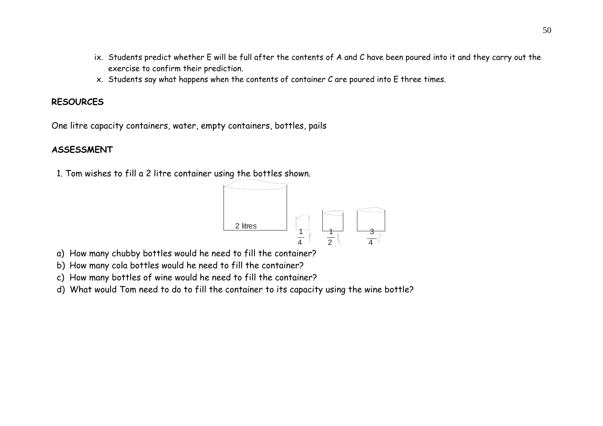- ix. Students predict whether E will be full after the contents of A and C have been poured into it and they carry out the exercise to confirm their prediction.
- x. Students say what happens when the contents of container C are poured into E three times.

# **RESOURCES**

One litre capacity containers, water, empty containers, bottles, pails

# **ASSESSMENT**

1. Tom wishes to fill a 2 litre container using the bottles shown.



- a) How many chubby bottles would he need to fill the container?
- b) How many cola bottles would he need to fill the container?
- c) How many bottles of wine would he need to fill the container?
- d) What would Tom need to do to fill the container to its capacity using the wine bottle?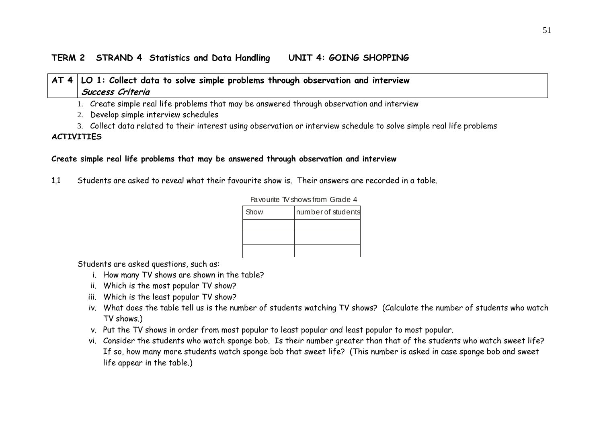# **TERM 2 STRAND 4 Statistics and Data Handling UNIT 4: GOING SHOPPING**

# **AT 4 LO 1: Collect data to solve simple problems through observation and interview Success Criteria**

1. Create simple real life problems that may be answered through observation and interview

2. Develop simple interview schedules

3. Collect data related to their interest using observation or interview schedule to solve simple real life problems **ACTIVITIES**

### **Create simple real life problems that may be answered through observation and interview**

1.1 Students are asked to reveal what their favourite show is. Their answers are recorded in a table.

| Show | number of students |  |  |
|------|--------------------|--|--|
|      |                    |  |  |
|      |                    |  |  |
|      |                    |  |  |

Favourite TV shows from Grade 4

Students are asked questions, such as:

- i. How many TV shows are shown in the table?
- ii. Which is the most popular TV show?
- iii. Which is the least popular TV show?
- iv. What does the table tell us is the number of students watching TV shows? (Calculate the number of students who watch TV shows.)
- v. Put the TV shows in order from most popular to least popular and least popular to most popular.
- vi. Consider the students who watch sponge bob. Is their number greater than that of the students who watch sweet life? If so, how many more students watch sponge bob that sweet life? (This number is asked in case sponge bob and sweet life appear in the table.)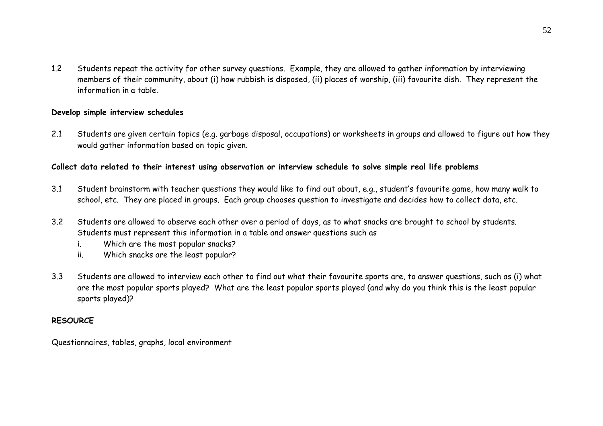1.2 Students repeat the activity for other survey questions. Example, they are allowed to gather information by interviewing members of their community, about (i) how rubbish is disposed, (ii) places of worship, (iii) favourite dish. They represent the information in a table.

### **Develop simple interview schedules**

2.1 Students are given certain topics (e.g. garbage disposal, occupations) or worksheets in groups and allowed to figure out how they would gather information based on topic given.

### **Collect data related to their interest using observation or interview schedule to solve simple real life problems**

- 3.1 Student brainstorm with teacher questions they would like to find out about, e.g., student's favourite game, how many walk to school, etc. They are placed in groups. Each group chooses question to investigate and decides how to collect data, etc.
- 3.2 Students are allowed to observe each other over a period of days, as to what snacks are brought to school by students. Students must represent this information in a table and answer questions such as
	- i. Which are the most popular snacks?
	- ii. Which snacks are the least popular?
- 3.3 Students are allowed to interview each other to find out what their favourite sports are, to answer questions, such as (i) what are the most popular sports played? What are the least popular sports played (and why do you think this is the least popular sports played)?

### **RESOURCE**

Questionnaires, tables, graphs, local environment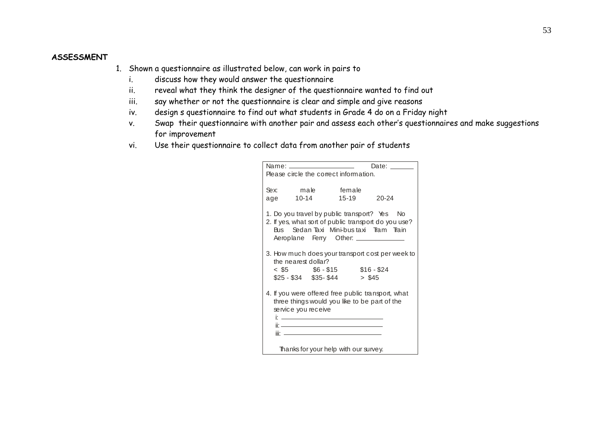### **ASSESSMENT**

- 1. Shown a questionnaire as illustrated below, can work in pairs to
	- i. discuss how they would answer the questionnaire
	- ii. reveal what they think the designer of the questionnaire wanted to find out
	- iii. say whether or not the questionnaire is clear and simple and give reasons
	- iv. design s questionnaire to find out what students in Grade 4 do on a Friday night
	- v. Swap their questionnaire with another pair and assess each other's questionnaires and make suggestions for improvement
	- vi. Use their questionnaire to collect data from another pair of students

|             | Name: _____________________<br>Please circle the correct information.                                                                                                                                                                                                                                            |        |             | Date: ______                                     |
|-------------|------------------------------------------------------------------------------------------------------------------------------------------------------------------------------------------------------------------------------------------------------------------------------------------------------------------|--------|-------------|--------------------------------------------------|
| Sex:<br>age | male<br>10-14                                                                                                                                                                                                                                                                                                    | female | 15-19 20-24 |                                                  |
|             | 1. Do you travel by public transport? Yes No<br>2. If yes, what sort of public transport do you use?<br>Bus Sedan Taxi Mini-bustaxi Tram Train<br>Aeroplane Ferry Other: ______________                                                                                                                          |        |             |                                                  |
|             | the nearest dollar?<br>$< $5$ $$6 - $15$ $$16 - $24$<br>$$25 - $34$ $$35 - $44$                                                                                                                                                                                                                                  |        | > \$45      | 3. How much does your transport cost per week to |
|             | 4. If you were offered free public transport, what<br>three things would you like to be part of the<br>service you receive<br><u>it also a constructed and the construction of the construction of the construction of the construction of the c</u><br>iir <u>an am bhaile anns an c</u> haol ann an chailleach |        |             |                                                  |
|             | Thanks for your help with our survey.                                                                                                                                                                                                                                                                            |        |             |                                                  |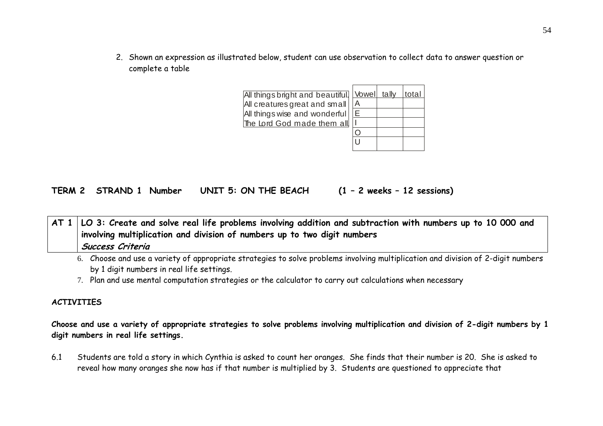2. Shown an expression as illustrated below, student can use observation to collect data to answer question or complete a table

| All things bright and beautiful. Vowel tally |     | ∣total |
|----------------------------------------------|-----|--------|
| All creatures great and small                | ΙA  |        |
| All things wise and wonderful                | IE. |        |
| The Lord God made them all                   |     |        |
|                                              |     |        |
|                                              |     |        |
|                                              |     |        |

**TERM 2 STRAND 1 Number UNIT 5: ON THE BEACH (1 – 2 weeks – 12 sessions)** 

**AT 1 LO 3: Create and solve real life problems involving addition and subtraction with numbers up to 10 000 and involving multiplication and division of numbers up to two digit numbers Success Criteria**

- 6. Choose and use a variety of appropriate strategies to solve problems involving multiplication and division of 2-digit numbers by 1 digit numbers in real life settings.
- 7. Plan and use mental computation strategies or the calculator to carry out calculations when necessary

#### **ACTIVITIES**

**Choose and use a variety of appropriate strategies to solve problems involving multiplication and division of 2-digit numbers by 1 digit numbers in real life settings.** 

6.1 Students are told a story in which Cynthia is asked to count her oranges. She finds that their number is 20. She is asked to reveal how many oranges she now has if that number is multiplied by 3. Students are questioned to appreciate that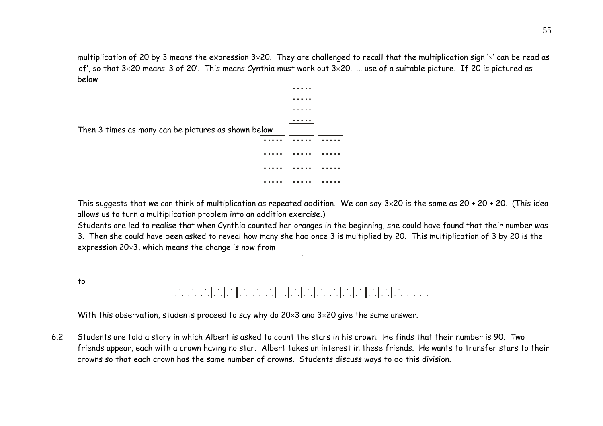multiplication of 20 by 3 means the expression  $3\times 20$ . They are challenged to recall that the multiplication sign  $\times$  can be read as 'of', so that 3×20 means '3 of 20'. This means Cynthia must work out 3×20. … use of a suitable picture. If 20 is pictured as below



Then 3 times as many can be pictures as shown below

| . | . | .        |
|---|---|----------|
| . | . | . .<br>. |
|   |   |          |
| . | . | .<br>.   |
|   |   |          |

This suggests that we can think of multiplication as repeated addition. We can say  $3\times20$  is the same as  $20 + 20 + 20$ . (This idea allows us to turn a multiplication problem into an addition exercise.)

 Students are led to realise that when Cynthia counted her oranges in the beginning, she could have found that their number was 3. Then she could have been asked to reveal how many she had once 3 is multiplied by 20. This multiplication of 3 by 20 is the expression 20×3, which means the change is now from

to

. .

With this observation, students proceed to say why do 20×3 and 3×20 give the same answer.

6.2 Students are told a story in which Albert is asked to count the stars in his crown. He finds that their number is 90. Two friends appear, each with a crown having no star. Albert takes an interest in these friends. He wants to transfer stars to their crowns so that each crown has the same number of crowns. Students discuss ways to do this division.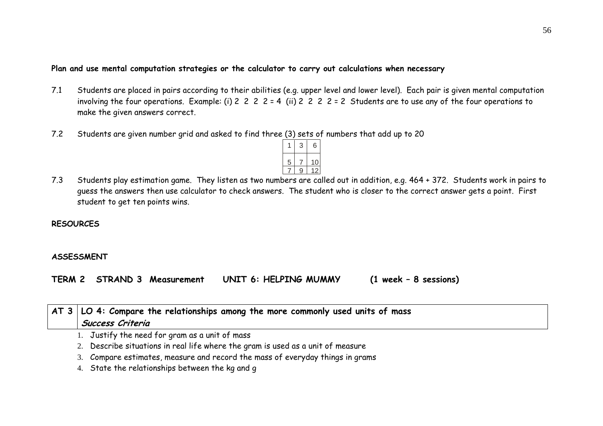### **Plan and use mental computation strategies or the calculator to carry out calculations when necessary**

- 7.1 Students are placed in pairs according to their abilities (e.g. upper level and lower level). Each pair is given mental computation involving the four operations. Example: (i)  $2 \ 2 \ 2 \ 2 \ 2 \ 4 \$  (ii)  $2 \ 2 \ 2 \ 2 \ 2 \ 2 \ 2 \ 5$  Students are to use any of the four operations to make the given answers correct.
- 7.2Students are given number grid and asked to find three (3) sets of numbers that add up to 20



7.3 Students play estimation game. They listen as two numbers are called out in addition, e.g. 464 + 372. Students work in pairs to guess the answers then use calculator to check answers. The student who is closer to the correct answer gets a point. First student to get ten points wins.

#### **RESOURCES**

### **ASSESSMENT**

**TERM 2 STRAND 3 Measurement UNIT 6: HELPING MUMMY (1 week – 8 sessions)** 

| $\vert$ AT 3 $\vert$ LO 4: Compare the relationships among the more commonly used units of mass<br>Success Criteria                                                                                                                   |
|---------------------------------------------------------------------------------------------------------------------------------------------------------------------------------------------------------------------------------------|
| 1. Justify the need for gram as a unit of mass                                                                                                                                                                                        |
| 2. Describe situations in real life where the gram is used as a unit of measure                                                                                                                                                       |
| $\alpha$ and $\alpha$ is the contract of the contract of the contract of the contract of the contract of the contract of the contract of the contract of the contract of the contract of the contract of the contract of the contract |

3. Compare estimates, measure and record the mass of everyday things in grams

4. State the relationships between the kg and g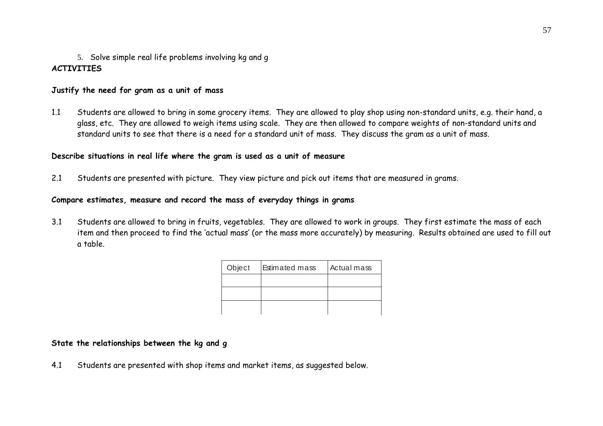# 5. Solve simple real life problems involving kg and g **ACTIVITIES**

### **Justify the need for gram as a unit of mass**

1.1 Students are allowed to bring in some grocery items. They are allowed to play shop using non-standard units, e.g. their hand, a glass, etc. They are allowed to weigh items using scale. They are then allowed to compare weights of non-standard units and standard units to see that there is a need for a standard unit of mass. They discuss the gram as a unit of mass.

### **Describe situations in real life where the gram is used as a unit of measure**

2.1 Students are presented with picture. They view picture and pick out items that are measured in grams.

### **Compare estimates, measure and record the mass of everyday things in grams**

3.1 Students are allowed to bring in fruits, vegetables. They are allowed to work in groups. They first estimate the mass of each item and then proceed to find the 'actual mass' (or the mass more accurately) by measuring. Results obtained are used to fill out a table.

| Object | <b>Estimated mass</b> | Actual mass |
|--------|-----------------------|-------------|
|        |                       |             |
|        |                       |             |
|        |                       |             |

### **State the relationships between the kg and g**

4.1 Students are presented with shop items and market items, as suggested below.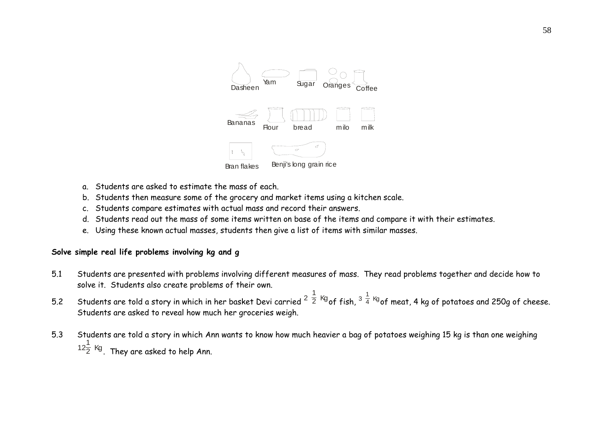

- a. Students are asked to estimate the mass of each.
- b. Students then measure some of the grocery and market items using a kitchen scale.
- c. Students compare estimates with actual mass and record their answers.
- d. Students read out the mass of some items written on base of the items and compare it with their estimates.
- e. Using these known actual masses, students then give a list of items with similar masses.

### **Solve simple real life problems involving kg and g**

- 5.1 Students are presented with problems involving different measures of mass. They read problems together and decide how to solve it. Students also create problems of their own.
- 5.2 Students are told a story in which in her basket Devi carried  $^2$   $^{\frac{1}{2}}$  <sup>Kg</sup>of fish,  $^3$   $^{\frac{1}{4}}$  <sup>Kg</sup>of meat, 4 kg of potatoes and 250g of cheese. Students are asked to reveal how much her groceries weigh.
- 5.3 Students are told a story in which Ann wants to know how much heavier a bag of potatoes weighing 15 kg is than one weighing  $^{12}\rm\frac{1}{2}$  <sup>Kg</sup>. They are asked to help Ann.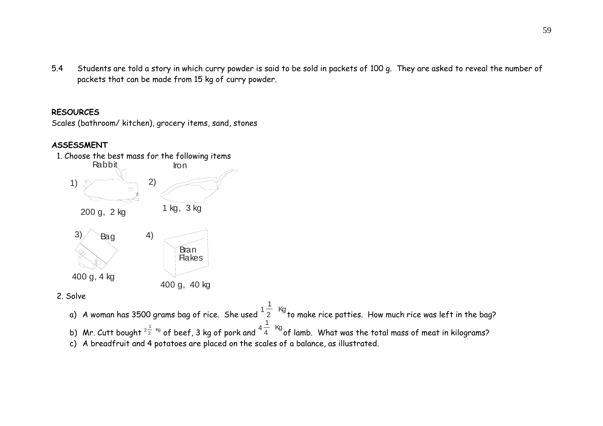5.4 Students are told a story in which curry powder is said to be sold in packets of 100 g. They are asked to reveal the number of packets that can be made from 15 kg of curry powder.

### **RESOURCES**

Scales (bathroom/ kitchen), grocery items, sand, stones

# **ASSESSMENT**



2. Solve

a)  $\,$  A woman has 3500 grams bag of rice. She used  $^{1}$  $\frac{1}{2}$  Kg<br><sup>2</sup> to make rice patties. How much rice was left in the bag? b) Mr. Cutt bought  $^{2\frac{1}{2}-\kappa_0}$  of beef, 3 kg of pork and  $^{4\frac{1}{4}-\kappa_0^\prime}$ of lamb. What was the total mass of meat in kilograms? c) A breadfruit and 4 potatoes are placed on the scales of a balance, as illustrated.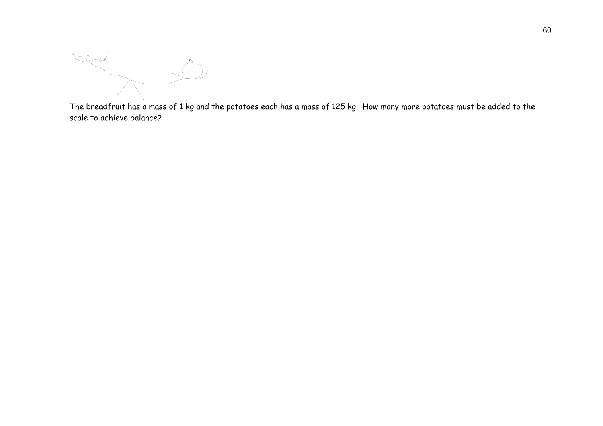lega

The breadfruit has a mass of 1 kg and the potatoes each has a mass of 125 kg. How many more potatoes must be added to the scale to achieve balance?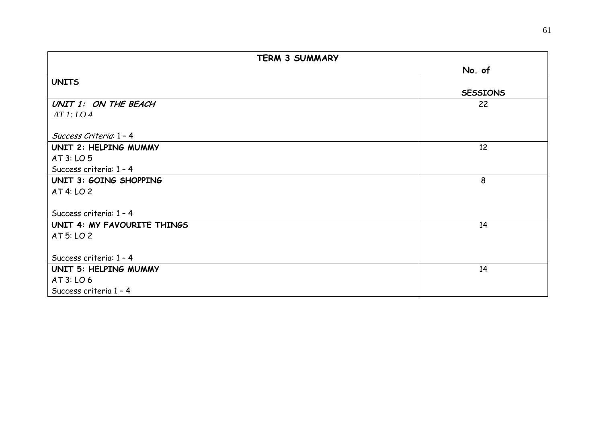| <b>TERM 3 SUMMARY</b>       |                 |  |  |  |  |  |
|-----------------------------|-----------------|--|--|--|--|--|
|                             | No. of          |  |  |  |  |  |
| <b>UNITS</b>                |                 |  |  |  |  |  |
|                             | <b>SESSIONS</b> |  |  |  |  |  |
| UNIT 1: ON THE BEACH        | 22              |  |  |  |  |  |
| ATl: LO4                    |                 |  |  |  |  |  |
|                             |                 |  |  |  |  |  |
| Success Criteria 1 - 4      |                 |  |  |  |  |  |
| UNIT 2: HELPING MUMMY       | 12              |  |  |  |  |  |
| AT 3: LO 5                  |                 |  |  |  |  |  |
| Success criteria: 1 - 4     |                 |  |  |  |  |  |
| UNIT 3: GOING SHOPPING      | 8               |  |  |  |  |  |
| AT 4: LO 2                  |                 |  |  |  |  |  |
|                             |                 |  |  |  |  |  |
| Success criteria: 1 - 4     |                 |  |  |  |  |  |
| UNIT 4: MY FAVOURITE THINGS | 14              |  |  |  |  |  |
| AT 5: LO 2                  |                 |  |  |  |  |  |
|                             |                 |  |  |  |  |  |
| Success criteria: 1 - 4     |                 |  |  |  |  |  |
| UNIT 5: HELPING MUMMY       | 14              |  |  |  |  |  |
| AT 3: LO 6                  |                 |  |  |  |  |  |
| Success criteria 1 - 4      |                 |  |  |  |  |  |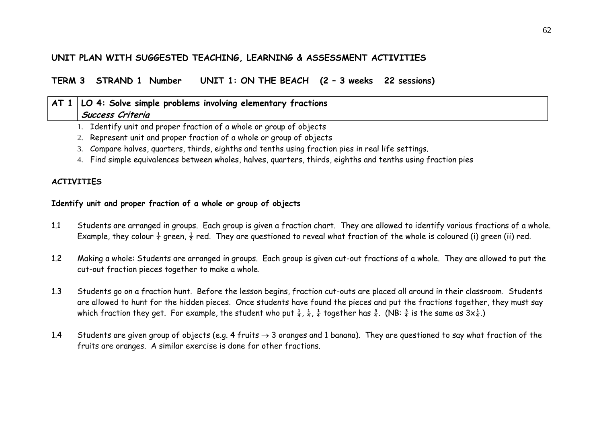# **UNIT PLAN WITH SUGGESTED TEACHING, LEARNING & ASSESSMENT ACTIVITIES**

**TERM 3 STRAND 1 Number UNIT 1: ON THE BEACH (2 – 3 weeks 22 sessions)** 

# **AT 1 LO 4: Solve simple problems involving elementary fractions Success Criteria**

- 1. Identify unit and proper fraction of a whole or group of objects
- 2. Represent unit and proper fraction of a whole or group of objects
- 3. Compare halves, quarters, thirds, eighths and tenths using fraction pies in real life settings.
- 4. Find simple equivalences between wholes, halves, quarters, thirds, eighths and tenths using fraction pies

# **ACTIVITIES**

### **Identify unit and proper fraction of a whole or group of objects**

- 1.1 Students are arranged in groups. Each group is given a fraction chart. They are allowed to identify various fractions of a whole. Example, they colour  $\frac{1}{4}$  green,  $\frac{1}{2}$  red. They are questioned to reveal what fraction of the whole is coloured (i) green (ii) red.
- 1.2 Making a whole: Students are arranged in groups. Each group is given cut-out fractions of a whole. They are allowed to put the cut-out fraction pieces together to make a whole.
- 1.3 Students go on a fraction hunt. Before the lesson begins, fraction cut-outs are placed all around in their classroom. Students are allowed to hunt for the hidden pieces. Once students have found the pieces and put the fractions together, they must say which fraction they get. For example, the student who put  $\frac{1}{4}$ ,  $\frac{1}{4}$ ,  $\frac{1}{4}$  together has  $\frac{3}{4}$ . (NB:  $\frac{3}{4}$  is the same as  $3x\frac{1}{4}$ .)
- 1.4Students are given group of objects (e.g. 4 fruits  $\rightarrow$  3 oranges and 1 banana). They are questioned to say what fraction of the fruits are oranges. A similar exercise is done for other fractions.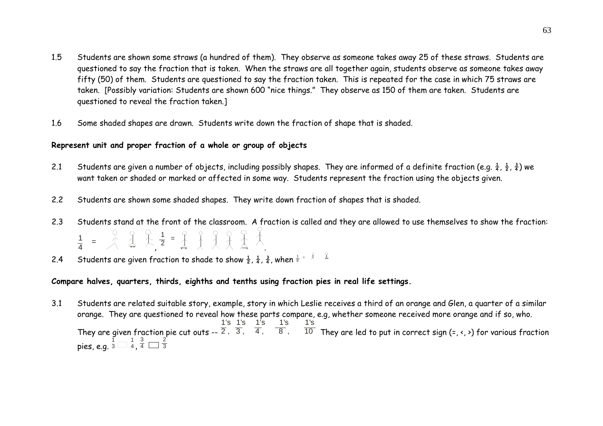- 1.5 Students are shown some straws (a hundred of them). They observe as someone takes away 25 of these straws. Students are questioned to say the fraction that is taken. When the straws are all together again, students observe as someone takes away fifty (50) of them. Students are questioned to say the fraction taken. This is repeated for the case in which 75 straws are taken. [Possibly variation: Students are shown 600 "nice things." They observe as 150 of them are taken. Students are questioned to reveal the fraction taken.]
- 1.6Some shaded shapes are drawn. Students write down the fraction of shape that is shaded.

### **Represent unit and proper fraction of a whole or group of objects**

- 2.1 Students are given a number of objects, including possibly shapes. They are informed of a definite fraction (e.g.  $\frac{1}{4}$ ,  $\frac{1}{2}$ ,  $\frac{3}{4}$ ) we want taken or shaded or marked or affected in some way. Students represent the fraction using the objects given.
- 2.2Students are shown some shaded shapes. They write down fraction of shapes that is shaded.
- 2.3 Students stand at the front of the classroom. A fraction is called and they are allowed to use themselves to show the fraction:  $\frac{1}{4}$  =  $\frac{1}{4}$   $\frac{2}{4}$   $\frac{1}{4}$   $\frac{1}{2}$  =  $\frac{1}{4}$   $\frac{1}{4}$   $\frac{1}{4}$   $\frac{1}{4}$   $\frac{1}{4}$   $\frac{1}{4}$
- 2.4Students are given fraction to shade to show  $\frac{1}{2}$ ,  $\frac{1}{4}$ ,  $\frac{3}{4}$ , when  $\frac{1}{8}$  =  $\frac{2}{3}$

### **Compare halves, quarters, thirds, eighths and tenths using fraction pies in real life settings.**

3.1 Students are related suitable story, example, story in which Leslie receives a third of an orange and Glen, a quarter of a similar orange. They are questioned to reveal how these parts compare, e.g, whether someone received more orange and if so, who. They are given fraction pie cut outs --  $\frac{1}{2}$ ,  $\frac{1}{3}$ ,  $\frac{1}{4}$ ,  $\frac{1}{8}$ ,  $\frac{1}{3}$ ,  $\frac{1}{8}$  They are led to put in correct sign (=, <, >) for various fraction pies, e.g.  $\frac{1}{3} \Box \frac{1}{4},$  $rac{3}{4}$   $rac{2}{3}$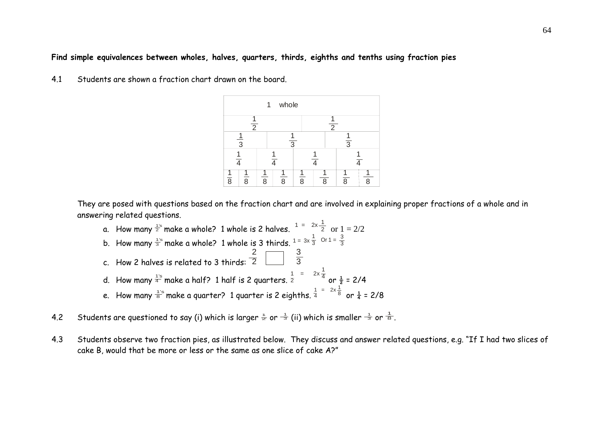#### **Find simple equivalences between wholes, halves, quarters, thirds, eighths and tenths using fraction pies**

4.1 Students are shown a fraction chart drawn on the board.

|                |                | 1 | whole          |   |   |                |   |
|----------------|----------------|---|----------------|---|---|----------------|---|
|                | $\overline{2}$ |   |                |   | 2 |                |   |
|                | $\overline{3}$ |   | $\overline{3}$ |   |   | $\overline{3}$ |   |
|                |                |   |                |   |   |                |   |
| $\overline{8}$ | ጸ              | 8 | о              | 8 | о |                | O |

They are posed with questions based on the fraction chart and are involved in explaining proper fractions of a whole and in answering related questions.

- a. How many  $\frac{1}{2}$  make a whole? 1 whole is 2 halves.  $1 = 2 \times \frac{1}{2}$  or  $1 = 2/2$ b. How many  $\frac{1}{3}$  make a whole? 1 whole is 3 thirds.  $1$  =  $3x\frac{1}{3}$  Or 1 =  $\frac{3}{3}$ 2 3 c. How 2 halves is related to 3 thirds: 2 3 1 = 2 d. How many  $\frac{1}{4}$  make a half? 1 half is 2 quarters.  $\frac{1}{2}$  =  $\frac{2 \times \frac{1}{4}}{2}$  or  $\frac{1}{2}$  = 2/4  $\frac{1}{4}$  = 2x  $\frac{1}{8}$ e. How many  $\frac{1}{8}^{\circ}$  make a quarter? 1 quarter is 2 eighths.  $\frac{1}{4}^{\circ}$   $=$   $\frac{2\times\overline{8}}{8}$  or  $\frac{1}{4}$  = 2/8
- 4.2 Students are questioned to say (i) which is larger  $\frac{1}{2}$  or  $\frac{1}{3}$  (ii) which is smaller  $\frac{1}{3}$  or  $\frac{1}{8}$ .
- 4.3 Students observe two fraction pies, as illustrated below. They discuss and answer related questions, e.g. "If I had two slices of cake B, would that be more or less or the same as one slice of cake A?"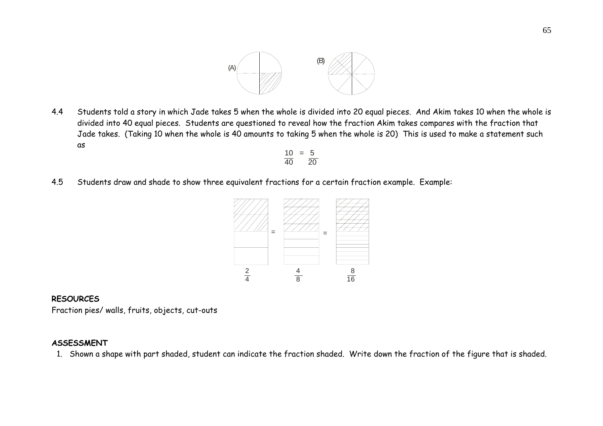

4.4 Students told a story in which Jade takes 5 when the whole is divided into 20 equal pieces. And Akim takes 10 when the whole is divided into 40 equal pieces. Students are questioned to reveal how the fraction Akim takes compares with the fraction that Jade takes. (Taking 10 when the whole is 40 amounts to taking 5 when the whole is 20) This is used to make a statement such as

$$
\frac{10}{40} = \frac{5}{20}
$$

4.5Students draw and shade to show three equivalent fractions for a certain fraction example. Example:



#### **RESOURCES**

Fraction pies/ walls, fruits, objects, cut-outs

### **ASSESSMENT**

1. Shown a shape with part shaded, student can indicate the fraction shaded. Write down the fraction of the figure that is shaded.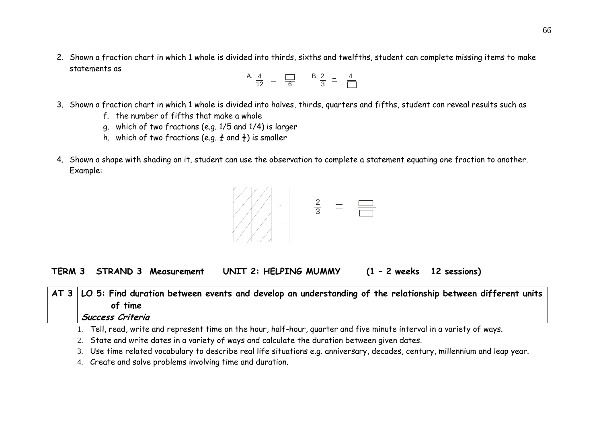2. Shown a fraction chart in which 1 whole is divided into thirds, sixths and twelfths, student can complete missing items to make statements as  $\overline{A}$ 

$$
A \frac{4}{12} = \frac{1}{6} \qquad B \frac{2}{3} = \frac{4}{12}
$$

- 3. Shown a fraction chart in which 1 whole is divided into halves, thirds, quarters and fifths, student can reveal results such as
	- f. the number of fifths that make a whole
	- g. which of two fractions (e.g. 1/5 and 1/4) is larger
	- h. which of two fractions (e.g.  $\frac{3}{4}$  and  $\frac{1}{2}$ ) is smaller
- 4. Shown a shape with shading on it, student can use the observation to complete a statement equating one fraction to another. Example:



**TERM 3 STRAND 3 Measurement UNIT 2: HELPING MUMMY (1 – 2 weeks 12 sessions)** 

| $\vert$ AT 3 $\vert$ LO 5: Find duration between events and develop an understanding of the relationship between different units<br>of time |
|---------------------------------------------------------------------------------------------------------------------------------------------|
|                                                                                                                                             |
| Success Criteria                                                                                                                            |
| 1. Tell, read, write and represent time on the hour, half-hour, quarter and five minute interval in a variety of ways.                      |
| 2. State and write dates in a variety of ways and calculate the duration between given dates.                                               |

3. Use time related vocabulary to describe real life situations e.g. anniversary, decades, century, millennium and leap year.

4. Create and solve problems involving time and duration.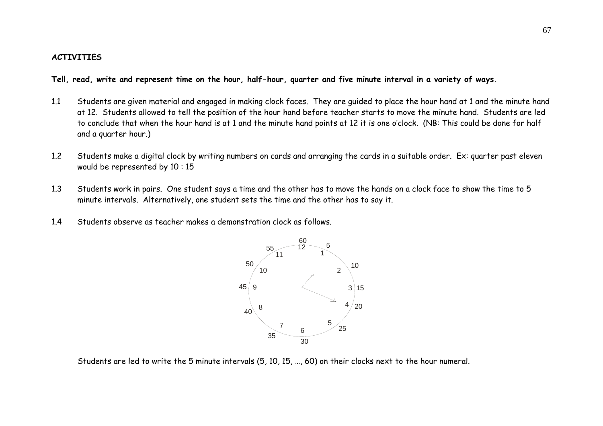#### **ACTIVITIES**

**Tell, read, write and represent time on the hour, half-hour, quarter and five minute interval in a variety of ways.** 

- 1.1 Students are given material and engaged in making clock faces. They are guided to place the hour hand at 1 and the minute hand at 12. Students allowed to tell the position of the hour hand before teacher starts to move the minute hand. Students are led to conclude that when the hour hand is at 1 and the minute hand points at 12 it is one o'clock. (NB: This could be done for half and a quarter hour.)
- 1.2 Students make a digital clock by writing numbers on cards and arranging the cards in a suitable order. Ex: quarter past eleven would be represented by 10 : 15
- 1.3 Students work in pairs. One student says a time and the other has to move the hands on a clock face to show the time to 5 minute intervals. Alternatively, one student sets the time and the other has to say it.
- 1.4Students observe as teacher makes a demonstration clock as follows.



Students are led to write the 5 minute intervals (5, 10, 15, …, 60) on their clocks next to the hour numeral.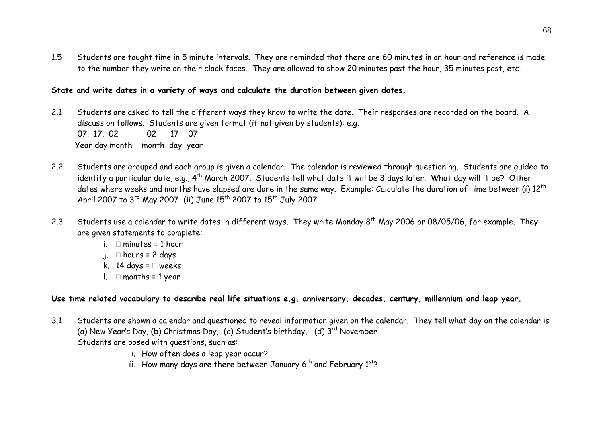1.5 Students are taught time in 5 minute intervals. They are reminded that there are 60 minutes in an hour and reference is made to the number they write on their clock faces. They are allowed to show 20 minutes past the hour, 35 minutes past, etc.

### **State and write dates in a variety of ways and calculate the duration between given dates.**

- 2.1 Students are asked to tell the different ways they know to write the date. Their responses are recorded on the board. A discussion follows. Students are given format (if not given by students): e.g. 07. 17. 02 02 17 07 Year day month month day year
- 2.2 Students are grouped and each group is given a calendar. The calendar is reviewed through questioning. Students are guided to identify a particular date, e.g., 4<sup>th</sup> March 2007. Students tell what date it will be 3 days later. What day will it be? Other dates where weeks and months have elapsed are done in the same way. Example: Calculate the duration of time between (i) 12<sup>th</sup> April 2007 to  $3^{rd}$  May 2007 (ii) June  $15^{th}$  2007 to  $15^{th}$  July 2007
- 2.3Students use a calendar to write dates in different ways. They write Monday  $8^{th}$  May 2006 or 08/05/06, for example. They are given statements to complete:
	- i.  $\Box$  minutes = 1 hour
	- i.  $\Box$  hours = 2 days
	- k. 14 days =  $\Box$  weeks
	- l.  $\Box$  months = 1 year

## **Use time related vocabulary to describe real life situations e.g. anniversary, decades, century, millennium and leap year.**

- 3.1 Students are shown a calendar and questioned to reveal information given on the calendar. They tell what day on the calendar is (a) New Year's Day, (b) Christmas Day, (c) Student's birthday, (d)  $3^{rd}$  November Students are posed with questions, such as:
	- i. How often does a leap year occur?
	- ii. How many days are there between January  $6<sup>th</sup>$  and February  $1<sup>st</sup>$ ?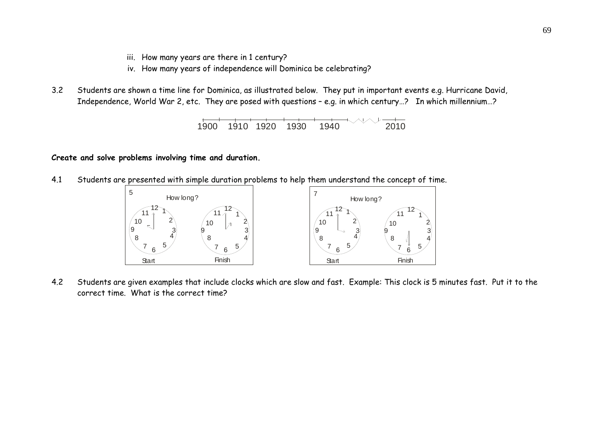- iii. How many years are there in 1 century?
- iv. How many years of independence will Dominica be celebrating?
- 3.2 Students are shown a time line for Dominica, as illustrated below. They put in important events e.g. Hurricane David, Independence, World War 2, etc. They are posed with questions – e.g. in which century…? In which millennium…?



#### **Create and solve problems involving time and duration.**

4.1 Students are presented with simple duration problems to help them understand the concept of time.



4.2 Students are given examples that include clocks which are slow and fast. Example: This clock is 5 minutes fast. Put it to the correct time. What is the correct time?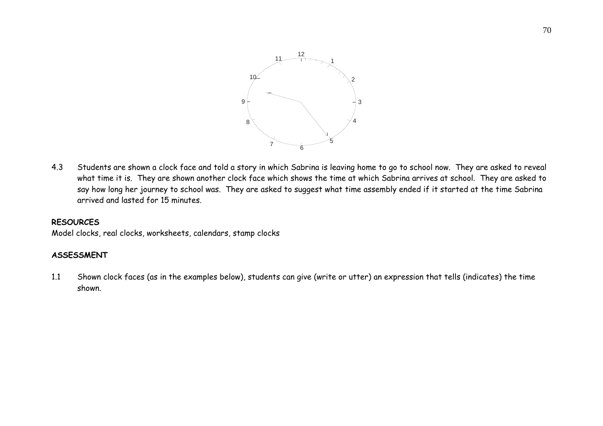

4.3 Students are shown a clock face and told a story in which Sabrina is leaving home to go to school now. They are asked to reveal what time it is. They are shown another clock face which shows the time at which Sabrina arrives at school. They are asked to say how long her journey to school was. They are asked to suggest what time assembly ended if it started at the time Sabrina arrived and lasted for 15 minutes.

### **RESOURCES**

Model clocks, real clocks, worksheets, calendars, stamp clocks

## **ASSESSMENT**

1.1 Shown clock faces (as in the examples below), students can give (write or utter) an expression that tells (indicates) the time shown.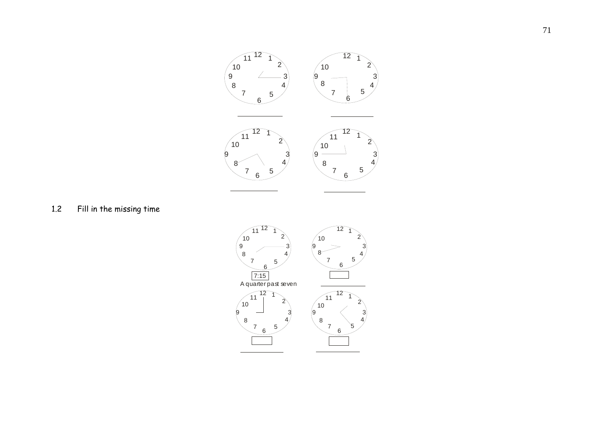

1.2Fill in the missing time

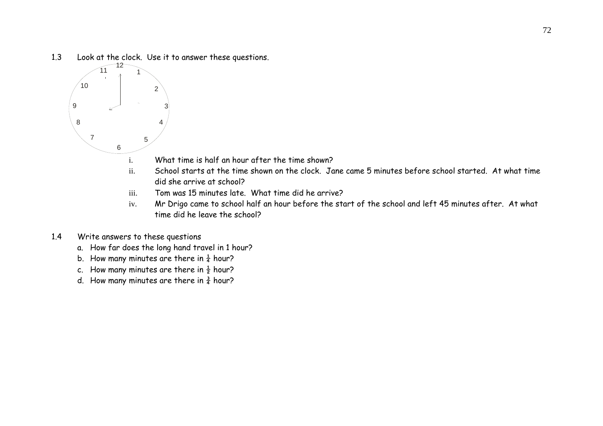1.3Look at the clock. Use it to answer these questions.



- What time is half an hour after the time shown?
- ii. School starts at the time shown on the clock. Jane came 5 minutes before school started. At what time did she arrive at school?
- iii.Tom was 15 minutes late. What time did he arrive?
- iv. Mr Drigo came to school half an hour before the start of the school and left 45 minutes after. At what time did he leave the school?
- 1.4 Write answers to these questions
	- a. How far does the long hand travel in 1 hour?
	- b. How many minutes are there in  $\frac{1}{4}$  hour?
	- c. How many minutes are there in  $\frac{1}{2}$  hour?
	- d. How many minutes are there in  $\frac{3}{4}$  hour?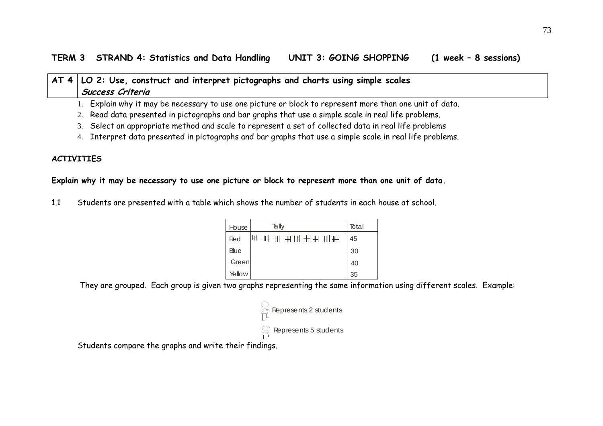# **AT 4 LO 2: Use, construct and interpret pictographs and charts using simple scales Success Criteria**

- 1. Explain why it may be necessary to use one picture or block to represent more than one unit of data.
- 2. Read data presented in pictographs and bar graphs that use a simple scale in real life problems.
- 3. Select an appropriate method and scale to represent a set of collected data in real life problems
- 4. Interpret data presented in pictographs and bar graphs that use a simple scale in real life problems.

# **ACTIVITIES**

## **Explain why it may be necessary to use one picture or block to represent more than one unit of data.**

1.1 Students are presented with a table which shows the number of students in each house at school.

| House       | Tally                         | Total |
|-------------|-------------------------------|-------|
| Red         | ₩<br>- ## ## ## ##<br>- ## ## | 45    |
| <b>Blue</b> |                               | 30    |
| Green       |                               | 40    |
| Yellow      |                               | 35    |

They are grouped. Each group is given two graphs representing the same information using different scales. Example:

| Represents 2 students                       |
|---------------------------------------------|
| $\sum_{i=1}^{\infty}$ Represents 5 students |

Students compare the graphs and write their findings.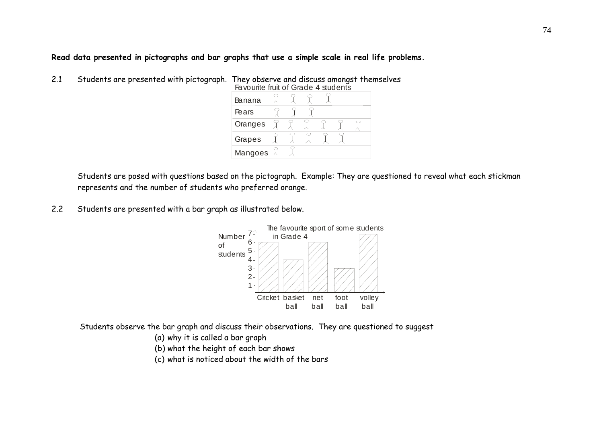# **Read data presented in pictographs and bar graphs that use a simple scale in real life problems.**

2.1 Students are presented with pictograph. They observe and discuss amongst themselves

| Favourite fruit of Grade 4 students |  |  |  |  |
|-------------------------------------|--|--|--|--|
| Banana                              |  |  |  |  |
| Pears                               |  |  |  |  |
| Oranges                             |  |  |  |  |
| Grapes                              |  |  |  |  |
| Mangoes                             |  |  |  |  |

 Students are posed with questions based on the pictograph. Example: They are questioned to reveal what each stickman represents and the number of students who preferred orange.

2.2Students are presented with a bar graph as illustrated below.



Students observe the bar graph and discuss their observations. They are questioned to suggest

(a) why it is called a bar graph

(b) what the height of each bar shows

(c) what is noticed about the width of the bars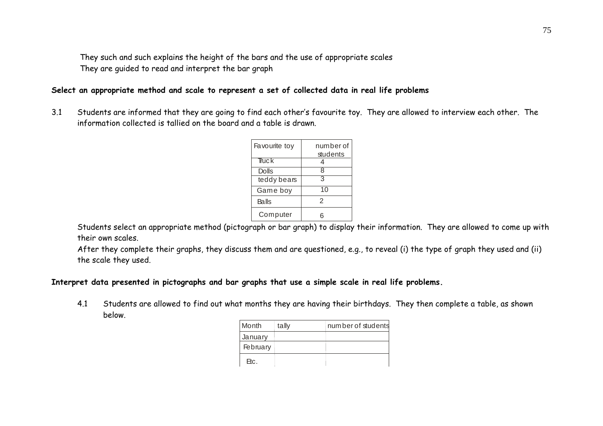They such and such explains the height of the bars and the use of appropriate scales They are guided to read and interpret the bar graph

### **Select an appropriate method and scale to represent a set of collected data in real life problems**

3.1 Students are informed that they are going to find each other's favourite toy. They are allowed to interview each other. The information collected is tallied on the board and a table is drawn.

| Favourite toy | number of<br>students |
|---------------|-----------------------|
| Truck         |                       |
| Dolls         | 8                     |
| teddy bears   | З                     |
| Game boy      | 10                    |
| Balls         | 2                     |
| Computer      |                       |

Students select an appropriate method (pictograph or bar graph) to display their information. They are allowed to come up with their own scales.

After they complete their graphs, they discuss them and are questioned, e.g., to reveal (i) the type of graph they used and (ii) the scale they used.

#### **Interpret data presented in pictographs and bar graphs that use a simple scale in real life problems.**

4.1 Students are allowed to find out what months they are having their birthdays. They then complete a table, as shown below.

| Month    | tally | number of students |
|----------|-------|--------------------|
| January  |       |                    |
| February |       |                    |
| Etc.     |       |                    |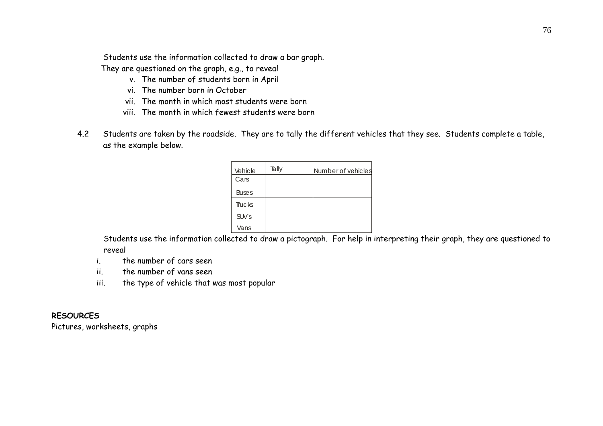Students use the information collected to draw a bar graph.

They are questioned on the graph, e.g., to reveal

- v. The number of students born in April
- vi. The number born in October
- vii. The month in which most students were born
- viii. The month in which fewest students were born
- 4.2 Students are taken by the roadside. They are to tally the different vehicles that they see. Students complete a table, as the example below.

| Vehicle      | Tally | Number of vehicles |
|--------------|-------|--------------------|
| Cars         |       |                    |
| <b>Buses</b> |       |                    |
| Trucks       |       |                    |
| $SW$ 's      |       |                    |
| Vans         |       |                    |

 Students use the information collected to draw a pictograph. For help in interpreting their graph, they are questioned to reveal

i. the number of cars seen

ii. the number of vans seen

iii. the type of vehicle that was most popular

# **RESOURCES**

Pictures, worksheets, graphs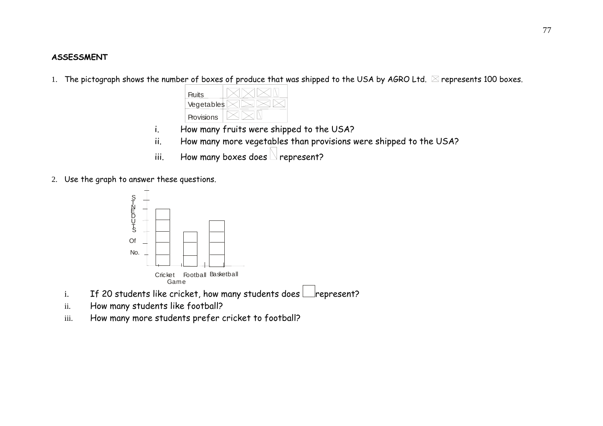#### **ASSESSMENT**

1. The pictograph shows the number of boxes of produce that was shipped to the USA by AGRO Ltd.  $\boxtimes$  represents 100 boxes.

| Fruits     |  |
|------------|--|
| Vegetables |  |
| Provisions |  |

- i. How many fruits were shipped to the USA?
- ii. How many more vegetables than provisions were shipped to the USA?
- iii. How many boxes does  $\Box$  represent?
- 2. Use the graph to answer these questions.



- i.If 20 students like cricket, how many students does  $\Box$  represent?
- ii.How many students like football?
- iii.How many more students prefer cricket to football?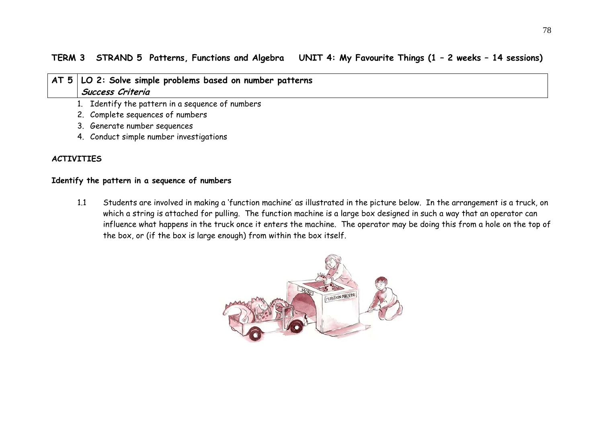# **TERM 3 STRAND 5 Patterns, Functions and Algebra UNIT 4: My Favourite Things (1 – 2 weeks – 14 sessions)**

|  | AT 5   LO 2: Solve simple problems based on number patterns |
|--|-------------------------------------------------------------|
|  | Success Criteria                                            |
|  | 1. Identify the pattern in a sequence of numbers            |
|  | 2. Complete sequences of numbers                            |

- 3. Generate number sequences
- 4. Conduct simple number investigations

# **ACTIVITIES**

## **Identify the pattern in a sequence of numbers**

1.1 Students are involved in making a 'function machine' as illustrated in the picture below. In the arrangement is a truck, on which a string is attached for pulling. The function machine is a large box designed in such a way that an operator can influence what happens in the truck once it enters the machine. The operator may be doing this from a hole on the top of the box, or (if the box is large enough) from within the box itself.

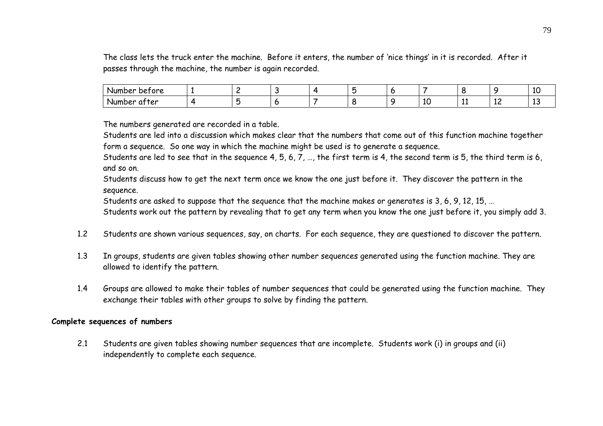The class lets the truck enter the machine. Before it enters, the number of 'nice things' in it is recorded. After it passes through the machine, the number is again recorded.

| Number<br>betore |  |  |  |    |     |    |    |
|------------------|--|--|--|----|-----|----|----|
| Number<br>atter  |  |  |  | 77 | . . | ᅩᆫ | -- |

The numbers generated are recorded in a table.

Students are led into a discussion which makes clear that the numbers that come out of this function machine together form a sequence. So one way in which the machine might be used is to generate a sequence.

Students are led to see that in the sequence 4, 5, 6, 7, …, the first term is 4, the second term is 5, the third term is 6, and so on.

Students discuss how to get the next term once we know the one just before it. They discover the pattern in the sequence.

Students are asked to suppose that the sequence that the machine makes or generates is 3, 6, 9, 12, 15, …

Students work out the pattern by revealing that to get any term when you know the one just before it, you simply add 3.

- 1.2Students are shown various sequences, say, on charts. For each sequence, they are questioned to discover the pattern.
- 1.3 In groups, students are given tables showing other number sequences generated using the function machine. They are allowed to identify the pattern.
- 1.4 Groups are allowed to make their tables of number sequences that could be generated using the function machine. They exchange their tables with other groups to solve by finding the pattern.

#### **Complete sequences of numbers**

2.1 Students are given tables showing number sequences that are incomplete. Students work (i) in groups and (ii) independently to complete each sequence.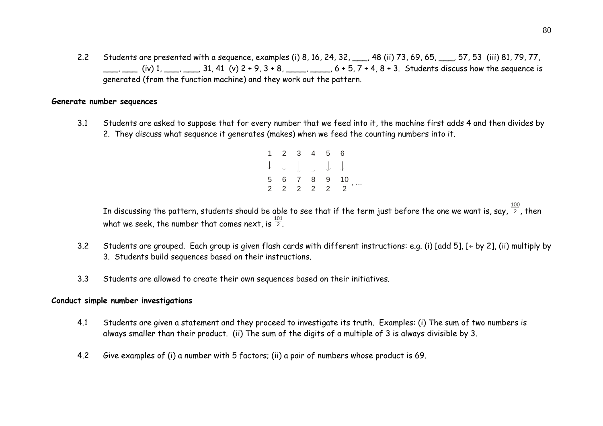2.2 Students are presented with a sequence, examples (i) 8, 16, 24, 32, \_\_\_, 48 (ii) 73, 69, 65, \_\_\_, 57, 53 (iii) 81, 79, 77,  $\frac{1}{2}$  (iv) 1,  $\frac{1}{2}$ ,  $\frac{31}{41}$  (v)  $2 + 9$ ,  $3 + 8$ ,  $\frac{1}{2}$ ,  $6 + 5$ ,  $7 + 4$ ,  $8 + 3$ . Students discuss how the sequence is generated (from the function machine) and they work out the pattern.

#### **Generate number sequences**

3.1 Students are asked to suppose that for every number that we feed into it, the machine first adds 4 and then divides by 2. They discuss what sequence it generates (makes) when we feed the counting numbers into it.

| 1 2 3 4 5 6 |  |                                                                                      |
|-------------|--|--------------------------------------------------------------------------------------|
| 1 1 1 1 1   |  |                                                                                      |
|             |  | $\frac{5}{2}$ $\frac{6}{2}$ $\frac{7}{2}$ $\frac{8}{2}$ $\frac{9}{2}$ $\frac{10}{2}$ |

In discussing the pattern, students should be able to see that if the term just before the one we want is, say,  $^{\frac{100}{2}}$ , then what we seek, the number that comes next, is  $\frac{101}{2}$ .

- 3.2Students are grouped. Each group is given flash cards with different instructions: e.g. (i) [add 5],  $[$  + by 2], (ii) multiply by 3. Students build sequences based on their instructions.
- 3.3Students are allowed to create their own sequences based on their initiatives.

#### **Conduct simple number investigations**

- 4.1 Students are given a statement and they proceed to investigate its truth. Examples: (i) The sum of two numbers is always smaller than their product. (ii) The sum of the digits of a multiple of 3 is always divisible by 3.
- 4.2Give examples of (i) a number with 5 factors; (ii) a pair of numbers whose product is 69.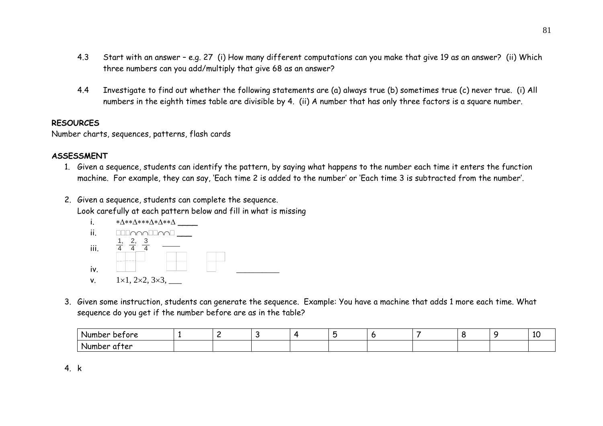- 4.3 Start with an answer – e.g. 27 (i) How many different computations can you make that give 19 as an answer? (ii) Which three numbers can you add/multiply that give 68 as an answer?
- 4.4 Investigate to find out whether the following statements are (a) always true (b) sometimes true (c) never true. (i) All numbers in the eighth times table are divisible by 4. (ii) A number that has only three factors is a square number.

## **RESOURCES**

Number charts, sequences, patterns, flash cards

# **ASSESSMENT**

- 1. Given a sequence, students can identify the pattern, by saying what happens to the number each time it enters the function machine. For example, they can say, 'Each time 2 is added to the number' or 'Each time 3 is subtracted from the number'.
- 2. Given a sequence, students can complete the sequence. Look carefully at each pattern below and fill in what is missing



3. Given some instruction, students can generate the sequence. Example: You have a machine that adds 1 more each time. What sequence do you get if the number before are as in the table?

| Number<br>betore <sup>.</sup> |  |  |  |  | ᅶ |
|-------------------------------|--|--|--|--|---|
| atter<br>Number               |  |  |  |  |   |

4. k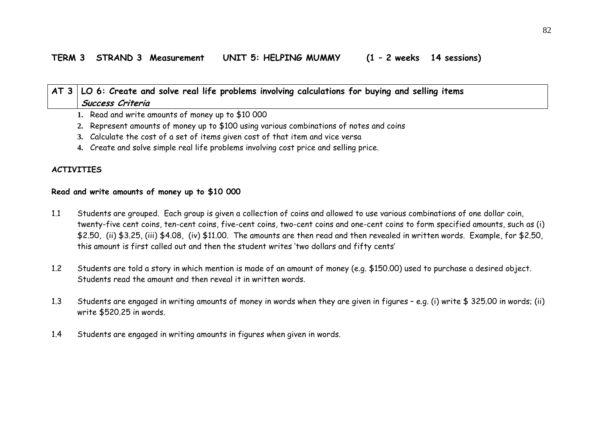| AT 3   LO 6: Create and solve real life problems involving calculations for buying and selling items |
|------------------------------------------------------------------------------------------------------|
| Success Criteria                                                                                     |
| 1. Read and write amounts of money up to \$10 000                                                    |

- **2.** Represent amounts of money up to \$100 using various combinations of notes and coins
- **3.** Calculate the cost of a set of items given cost of that item and vice versa
- **4.** Create and solve simple real life problems involving cost price and selling price.

## **ACTIVITIES**

#### **Read and write amounts of money up to \$10 000**

- 1.1 Students are grouped. Each group is given a collection of coins and allowed to use various combinations of one dollar coin, twenty-five cent coins, ten-cent coins, five-cent coins, two-cent coins and one-cent coins to form specified amounts, such as (i) \$2.50, (ii) \$3.25, (iii) \$4.08, (iv) \$11.00. The amounts are then read and then revealed in written words. Example, for \$2.50, this amount is first called out and then the student writes 'two dollars and fifty cents'
- 1.2 Students are told a story in which mention is made of an amount of money (e.g. \$150.00) used to purchase a desired object. Students read the amount and then reveal it in written words.
- 1.3 Students are engaged in writing amounts of money in words when they are given in figures – e.g. (i) write \$ 325.00 in words; (ii) write \$520.25 in words.
- 1.4Students are engaged in writing amounts in figures when given in words.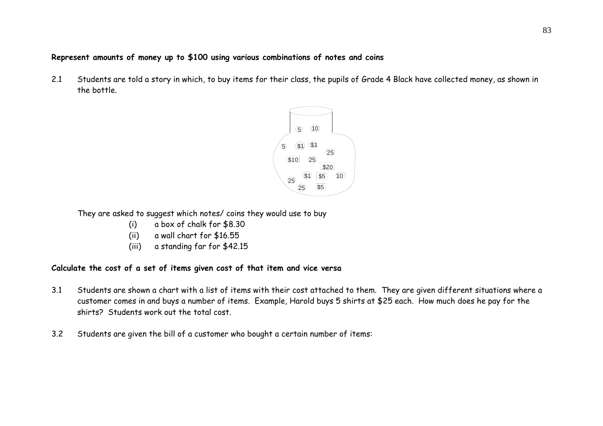# **Represent amounts of money up to \$100 using various combinations of notes and coins**

2.1 Students are told a story in which, to buy items for their class, the pupils of Grade 4 Black have collected money, as shown in the bottle.



They are asked to suggest which notes/ coins they would use to buy

- (i) a box of chalk for \$8.30
- (ii) a wall chart for \$16.55
- (iii) a standing far for \$42.15

#### **Calculate the cost of a set of items given cost of that item and vice versa**

- 3.1 Students are shown a chart with a list of items with their cost attached to them. They are given different situations where a customer comes in and buys a number of items. Example, Harold buys 5 shirts at \$25 each. How much does he pay for the shirts? Students work out the total cost.
- 3.2Students are given the bill of a customer who bought a certain number of items: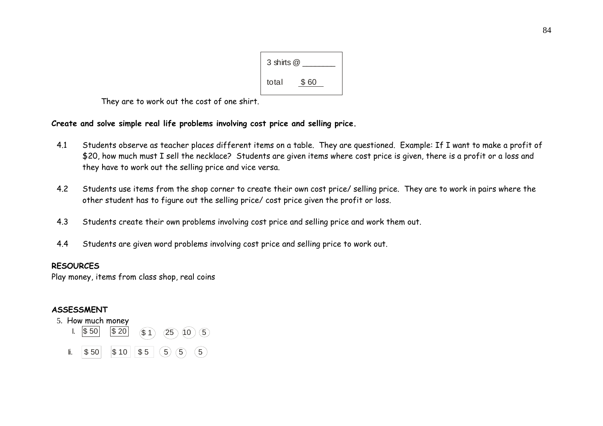

They are to work out the cost of one shirt.

# **Create and solve simple real life problems involving cost price and selling price.**

- 4.1 Students observe as teacher places different items on a table. They are questioned. Example: If I want to make a profit of \$20, how much must I sell the necklace? Students are given items where cost price is given, there is a profit or a loss and they have to work out the selling price and vice versa.
- 4.2 Students use items from the shop corner to create their own cost price/ selling price. They are to work in pairs where the other student has to figure out the selling price/ cost price given the profit or loss.
- 4.3Students create their own problems involving cost price and selling price and work them out.
- 4.4Students are given word problems involving cost price and selling price to work out.

#### **RESOURCES**

Play money, items from class shop, real coins

# **ASSESSMENT**

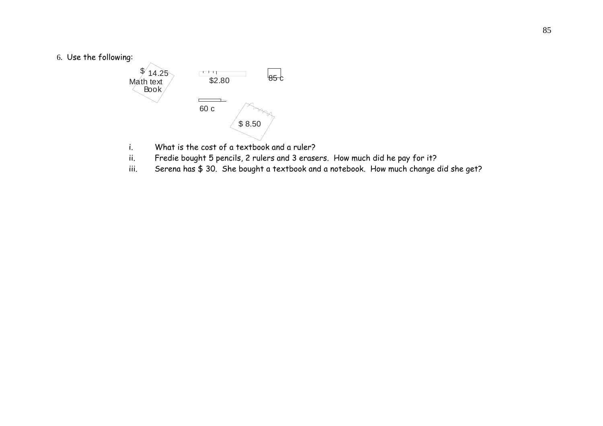6. Use the following:



- 
- ii. Fredie bought 5 pencils, 2 rulers and 3 erasers. How much did he pay for it?
- iii. Serena has \$ 30. She bought a textbook and a notebook. How much change did she get?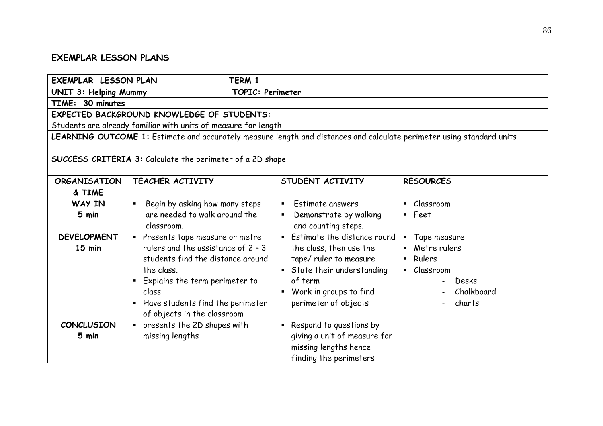# **EXEMPLAR LESSON PLANS**

| <b>EXEMPLAR LESSON PLAN</b>                               | TERM 1                                                                                                                                                                                                                                  |                                                                                                                                                                                                |                                                                                                                                            |
|-----------------------------------------------------------|-----------------------------------------------------------------------------------------------------------------------------------------------------------------------------------------------------------------------------------------|------------------------------------------------------------------------------------------------------------------------------------------------------------------------------------------------|--------------------------------------------------------------------------------------------------------------------------------------------|
| UNIT 3: Helping Mummy<br><b>TOPIC: Perimeter</b>          |                                                                                                                                                                                                                                         |                                                                                                                                                                                                |                                                                                                                                            |
| TIME: 30 minutes                                          |                                                                                                                                                                                                                                         |                                                                                                                                                                                                |                                                                                                                                            |
|                                                           | <b>EXPECTED BACKGROUND KNOWLEDGE OF STUDENTS:</b>                                                                                                                                                                                       |                                                                                                                                                                                                |                                                                                                                                            |
|                                                           | Students are already familiar with units of measure for length                                                                                                                                                                          |                                                                                                                                                                                                |                                                                                                                                            |
|                                                           | LEARNING OUTCOME 1: Estimate and accurately measure length and distances and calculate perimeter using standard units                                                                                                                   |                                                                                                                                                                                                |                                                                                                                                            |
| SUCCESS CRITERIA 3: Calculate the perimeter of a 2D shape |                                                                                                                                                                                                                                         |                                                                                                                                                                                                |                                                                                                                                            |
| <b>ORGANISATION</b>                                       | <b>TEACHER ACTIVITY</b>                                                                                                                                                                                                                 | STUDENT ACTIVITY                                                                                                                                                                               | <b>RESOURCES</b>                                                                                                                           |
| & TIME                                                    |                                                                                                                                                                                                                                         |                                                                                                                                                                                                |                                                                                                                                            |
| WAY IN                                                    | Begin by asking how many steps                                                                                                                                                                                                          | Estimate answers<br>$\blacksquare$                                                                                                                                                             | Classroom<br>$\blacksquare$                                                                                                                |
| 5 min                                                     | are needed to walk around the<br>classroom.                                                                                                                                                                                             | Demonstrate by walking<br>$\blacksquare$<br>and counting steps.                                                                                                                                | Feet<br>$\blacksquare$                                                                                                                     |
| <b>DEVELOPMENT</b><br>$15$ min                            | • Presents tape measure or metre<br>rulers and the assistance of 2 - 3<br>students find the distance around<br>the class.<br>Explains the term perimeter to<br>class<br>Have students find the perimeter<br>of objects in the classroom | Estimate the distance round<br>$\blacksquare$ .<br>the class, then use the<br>tape/ ruler to measure<br>State their understanding<br>of term<br>Work in groups to find<br>perimeter of objects | Tape measure<br>$\blacksquare$<br>Metre rulers<br>Rulers<br>$\blacksquare$<br>Classroom<br>$\blacksquare$<br>Desks<br>Chalkboard<br>charts |
| <b>CONCLUSION</b><br>5 min                                | " presents the 2D shapes with<br>missing lengths                                                                                                                                                                                        | Respond to questions by<br>$\blacksquare$<br>giving a unit of measure for<br>missing lengths hence<br>finding the perimeters                                                                   |                                                                                                                                            |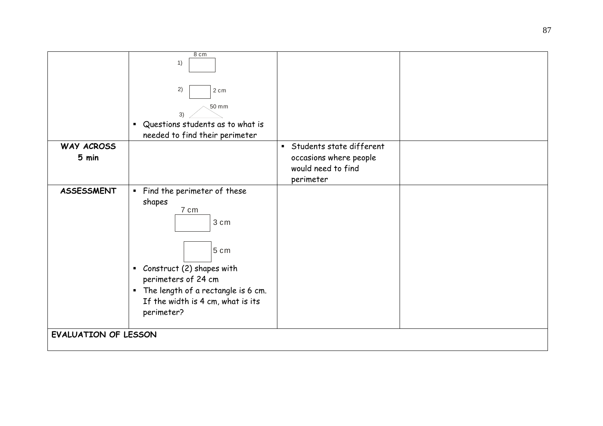|                             | 8 cm<br>1)                                       |                            |
|-----------------------------|--------------------------------------------------|----------------------------|
|                             |                                                  |                            |
|                             |                                                  |                            |
|                             | 2)<br>2 cm                                       |                            |
|                             | 50 mm                                            |                            |
|                             | 3)                                               |                            |
|                             | " Questions students as to what is               |                            |
| WAY ACROSS                  | needed to find their perimeter                   | • Students state different |
| 5 min                       |                                                  | occasions where people     |
|                             |                                                  | would need to find         |
|                             |                                                  | perimeter                  |
| <b>ASSESSMENT</b>           | Find the perimeter of these                      |                            |
|                             | shapes                                           |                            |
|                             | 7 cm                                             |                            |
|                             | 3 cm                                             |                            |
|                             |                                                  |                            |
|                             | 5 cm                                             |                            |
|                             |                                                  |                            |
|                             | Construct (2) shapes with<br>perimeters of 24 cm |                            |
|                             | The length of a rectangle is 6 cm.               |                            |
|                             | If the width is 4 cm, what is its                |                            |
|                             | perimeter?                                       |                            |
|                             |                                                  |                            |
| <b>EVALUATION OF LESSON</b> |                                                  |                            |
|                             |                                                  |                            |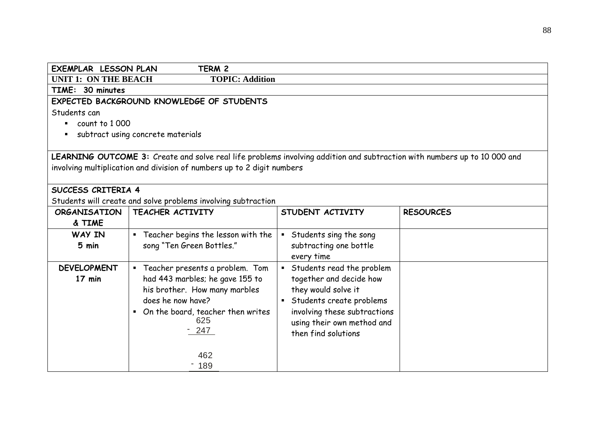| <b>EXEMPLAR LESSON PLAN</b>  | TERM 2                                                                                                                   |                              |                  |
|------------------------------|--------------------------------------------------------------------------------------------------------------------------|------------------------------|------------------|
| <b>UNIT 1: ON THE BEACH</b>  | <b>TOPIC: Addition</b>                                                                                                   |                              |                  |
| TIME: 30 minutes             |                                                                                                                          |                              |                  |
|                              | EXPECTED BACKGROUND KNOWLEDGE OF STUDENTS                                                                                |                              |                  |
| Students can                 |                                                                                                                          |                              |                  |
| $\blacksquare$ count to 1000 |                                                                                                                          |                              |                  |
|                              | subtract using concrete materials                                                                                        |                              |                  |
|                              |                                                                                                                          |                              |                  |
|                              | LEARNING OUTCOME 3: Create and solve real life problems involving addition and subtraction with numbers up to 10 000 and |                              |                  |
|                              | involving multiplication and division of numbers up to 2 digit numbers                                                   |                              |                  |
|                              |                                                                                                                          |                              |                  |
| SUCCESS CRITERIA 4           |                                                                                                                          |                              |                  |
|                              | Students will create and solve problems involving subtraction                                                            |                              |                  |
| <b>ORGANISATION</b>          | TEACHER ACTIVITY                                                                                                         | STUDENT ACTIVITY             | <b>RESOURCES</b> |
| & TIME                       |                                                                                                                          |                              |                  |
| WAY IN                       | " Teacher begins the lesson with the                                                                                     | Students sing the song       |                  |
| 5 min                        | song "Ten Green Bottles."                                                                                                | subtracting one bottle       |                  |
|                              |                                                                                                                          | every time                   |                  |
| <b>DEVELOPMENT</b>           | " Teacher presents a problem. Tom                                                                                        | • Students read the problem  |                  |
| 17 min                       | had 443 marbles; he gave 155 to                                                                                          | together and decide how      |                  |
|                              | his brother. How many marbles                                                                                            | they would solve it          |                  |
|                              | does he now have?                                                                                                        | • Students create problems   |                  |
|                              | • On the board, teacher then writes                                                                                      | involving these subtractions |                  |
|                              | 625                                                                                                                      | using their own method and   |                  |
|                              | $-247$                                                                                                                   | then find solutions          |                  |
|                              |                                                                                                                          |                              |                  |
|                              | 462                                                                                                                      |                              |                  |
|                              | 189                                                                                                                      |                              |                  |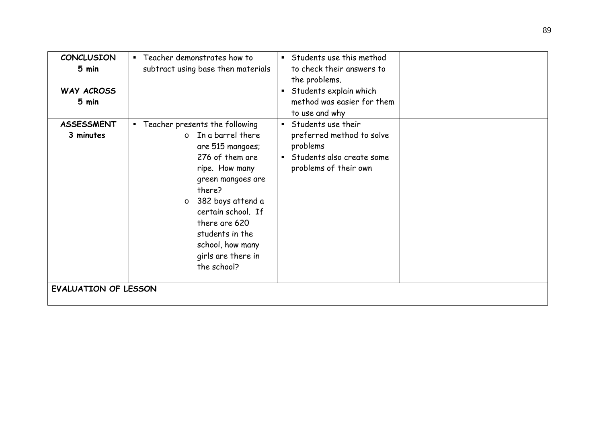| <b>CONCLUSION</b><br>5 min<br>WAY ACROSS<br>5 min | • Teacher demonstrates how to<br>Students use this method<br>to check their answers to<br>subtract using base then materials<br>the problems.<br>Students explain which<br>$\blacksquare$<br>method was easier for them<br>to use and why                                                                                                                                                                                                           |
|---------------------------------------------------|-----------------------------------------------------------------------------------------------------------------------------------------------------------------------------------------------------------------------------------------------------------------------------------------------------------------------------------------------------------------------------------------------------------------------------------------------------|
| <b>ASSESSMENT</b><br>3 minutes                    | Students use their<br>" Teacher presents the following<br>In a barrel there<br>preferred method to solve<br>$\Omega$<br>problems<br>are 515 mangoes;<br>276 of them are<br>Students also create some<br>$\blacksquare$<br>problems of their own<br>ripe. How many<br>green mangoes are<br>there?<br>382 boys attend a<br>$\circ$<br>certain school. If<br>there are 620<br>students in the<br>school, how many<br>girls are there in<br>the school? |
| <b>EVALUATION OF LESSON</b>                       |                                                                                                                                                                                                                                                                                                                                                                                                                                                     |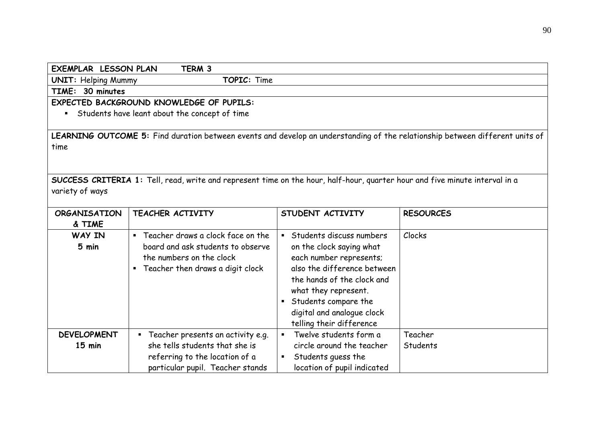| TERM 3<br><b>EXEMPLAR LESSON PLAN</b>     |                                                                                                                             |                                        |                                                                                                                              |
|-------------------------------------------|-----------------------------------------------------------------------------------------------------------------------------|----------------------------------------|------------------------------------------------------------------------------------------------------------------------------|
| TOPIC: Time<br><b>UNIT: Helping Mummy</b> |                                                                                                                             |                                        |                                                                                                                              |
| TIME: 30 minutes                          |                                                                                                                             |                                        |                                                                                                                              |
|                                           | <b>EXPECTED BACKGROUND KNOWLEDGE OF PUPILS:</b>                                                                             |                                        |                                                                                                                              |
| $\blacksquare$                            | Students have leant about the concept of time                                                                               |                                        |                                                                                                                              |
|                                           |                                                                                                                             |                                        |                                                                                                                              |
|                                           |                                                                                                                             |                                        | LEARNING OUTCOME 5: Find duration between events and develop an understanding of the relationship between different units of |
| time                                      |                                                                                                                             |                                        |                                                                                                                              |
|                                           |                                                                                                                             |                                        |                                                                                                                              |
|                                           |                                                                                                                             |                                        |                                                                                                                              |
|                                           | SUCCESS CRITERIA 1: Tell, read, write and represent time on the hour, half-hour, quarter hour and five minute interval in a |                                        |                                                                                                                              |
| variety of ways                           |                                                                                                                             |                                        |                                                                                                                              |
|                                           |                                                                                                                             |                                        |                                                                                                                              |
| <b>ORGANISATION</b>                       | TEACHER ACTIVITY                                                                                                            | STUDENT ACTIVITY                       | <b>RESOURCES</b>                                                                                                             |
| & TIME                                    |                                                                                                                             |                                        |                                                                                                                              |
| WAY IN                                    | " Teacher draws a clock face on the                                                                                         | Students discuss numbers               | Clocks                                                                                                                       |
| 5 min                                     | board and ask students to observe                                                                                           | on the clock saying what               |                                                                                                                              |
|                                           | the numbers on the clock                                                                                                    | each number represents;                |                                                                                                                              |
|                                           | Teacher then draws a digit clock<br>$\blacksquare$                                                                          | also the difference between            |                                                                                                                              |
|                                           |                                                                                                                             | the hands of the clock and             |                                                                                                                              |
|                                           |                                                                                                                             | what they represent.                   |                                                                                                                              |
|                                           |                                                                                                                             | Students compare the<br>$\blacksquare$ |                                                                                                                              |
|                                           |                                                                                                                             | digital and analogue clock             |                                                                                                                              |
|                                           |                                                                                                                             | telling their difference               |                                                                                                                              |
| <b>DEVELOPMENT</b>                        | " Teacher presents an activity e.g.                                                                                         | Twelve students form a                 | Teacher                                                                                                                      |
| $15$ min                                  | she tells students that she is                                                                                              | circle around the teacher              | Students                                                                                                                     |
|                                           | referring to the location of a                                                                                              | Students guess the                     |                                                                                                                              |
|                                           | particular pupil. Teacher stands                                                                                            | location of pupil indicated            |                                                                                                                              |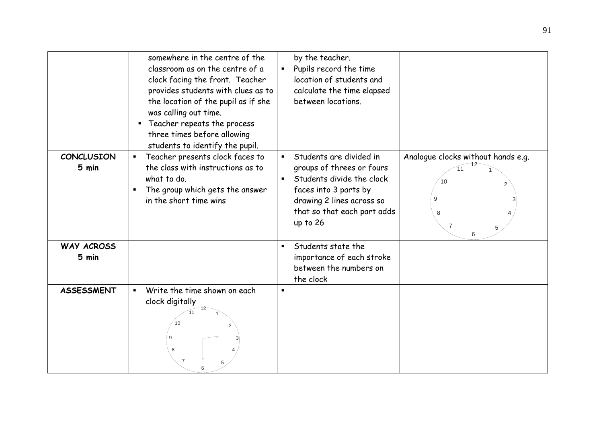|                            | somewhere in the centre of the<br>classroom as on the centre of a<br>clock facing the front. Teacher<br>provides students with clues as to<br>the location of the pupil as if she<br>was calling out time.<br>Teacher repeats the process<br>three times before allowing<br>students to identify the pupil. | by the teacher.<br>Pupils record the time<br>$\blacksquare$<br>location of students and<br>calculate the time elapsed<br>between locations.                                                          |                                                    |
|----------------------------|-------------------------------------------------------------------------------------------------------------------------------------------------------------------------------------------------------------------------------------------------------------------------------------------------------------|------------------------------------------------------------------------------------------------------------------------------------------------------------------------------------------------------|----------------------------------------------------|
| <b>CONCLUSION</b><br>5 min | Teacher presents clock faces to<br>$\blacksquare$<br>the class with instructions as to<br>what to do.<br>The group which gets the answer<br>in the short time wins                                                                                                                                          | Students are divided in<br>$\blacksquare$<br>groups of threes or fours<br>Students divide the clock<br>faces into 3 parts by<br>drawing 2 lines across so<br>that so that each part adds<br>up to 26 | Analogue clocks without hands e.g.<br>10<br>9<br>8 |
| <b>WAY ACROSS</b><br>5 min |                                                                                                                                                                                                                                                                                                             | Students state the<br>$\blacksquare$<br>importance of each stroke<br>between the numbers on<br>the clock                                                                                             |                                                    |
| <b>ASSESSMENT</b>          | Write the time shown on each<br>$\blacksquare$<br>clock digitally<br>9<br>8                                                                                                                                                                                                                                 |                                                                                                                                                                                                      |                                                    |